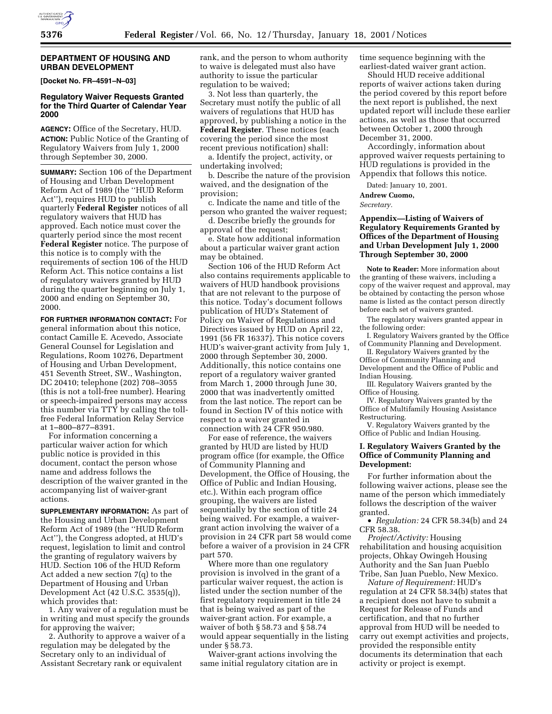#### **DEPARTMENT OF HOUSING AND URBAN DEVELOPMENT**

**[Docket No. FR–4591–N–03]**

## **Regulatory Waiver Requests Granted for the Third Quarter of Calendar Year 2000**

**AGENCY:** Office of the Secretary, HUD.

**ACTION:** Public Notice of the Granting of Regulatory Waivers from July 1, 2000 through September 30, 2000.

**SUMMARY:** Section 106 of the Department of Housing and Urban Development Reform Act of 1989 (the ''HUD Reform Act''), requires HUD to publish quarterly **Federal Register** notices of all regulatory waivers that HUD has approved. Each notice must cover the quarterly period since the most recent **Federal Register** notice. The purpose of this notice is to comply with the requirements of section 106 of the HUD Reform Act. This notice contains a list of regulatory waivers granted by HUD during the quarter beginning on July 1, 2000 and ending on September 30, 2000.

**FOR FURTHER INFORMATION CONTACT:** For general information about this notice, contact Camille E. Acevedo, Associate General Counsel for Legislation and Regulations, Room 10276, Department of Housing and Urban Development, 451 Seventh Street, SW., Washington, DC 20410; telephone (202) 708–3055 (this is not a toll-free number). Hearing or speech-impaired persons may access this number via TTY by calling the tollfree Federal Information Relay Service at 1–800–877–8391.

For information concerning a particular waiver action for which public notice is provided in this document, contact the person whose name and address follows the description of the waiver granted in the accompanying list of waiver-grant actions.

**SUPPLEMENTARY INFORMATION:** As part of the Housing and Urban Development Reform Act of 1989 (the ''HUD Reform Act''), the Congress adopted, at HUD's request, legislation to limit and control the granting of regulatory waivers by HUD. Section 106 of the HUD Reform Act added a new section 7(q) to the Department of Housing and Urban Development Act (42 U.S.C. 3535(q)), which provides that:

1. Any waiver of a regulation must be in writing and must specify the grounds for approving the waiver;

2. Authority to approve a waiver of a regulation may be delegated by the Secretary only to an individual of Assistant Secretary rank or equivalent

rank, and the person to whom authority to waive is delegated must also have authority to issue the particular regulation to be waived;

3. Not less than quarterly, the Secretary must notify the public of all waivers of regulations that HUD has approved, by publishing a notice in the **Federal Register**. These notices (each covering the period since the most recent previous notification) shall:

a. Identify the project, activity, or undertaking involved;

b. Describe the nature of the provision waived, and the designation of the provision;

c. Indicate the name and title of the person who granted the waiver request;

d. Describe briefly the grounds for approval of the request;

e. State how additional information about a particular waiver grant action may be obtained.

Section 106 of the HUD Reform Act also contains requirements applicable to waivers of HUD handbook provisions that are not relevant to the purpose of this notice. Today's document follows publication of HUD's Statement of Policy on Waiver of Regulations and Directives issued by HUD on April 22, 1991 (56 FR 16337). This notice covers HUD's waiver-grant activity from July 1, 2000 through September 30, 2000. Additionally, this notice contains one report of a regulatory waiver granted from March 1, 2000 through June 30, 2000 that was inadvertently omitted from the last notice. The report can be found in Section IV of this notice with respect to a waiver granted in connection with 24 CFR 950.980.

For ease of reference, the waivers granted by HUD are listed by HUD program office (for example, the Office of Community Planning and Development, the Office of Housing, the Office of Public and Indian Housing, etc.). Within each program office grouping, the waivers are listed sequentially by the section of title 24 being waived. For example, a waivergrant action involving the waiver of a provision in 24 CFR part 58 would come before a waiver of a provision in 24 CFR part 570.

Where more than one regulatory provision is involved in the grant of a particular waiver request, the action is listed under the section number of the first regulatory requirement in title 24 that is being waived as part of the waiver-grant action. For example, a waiver of both § 58.73 and § 58.74 would appear sequentially in the listing under § 58.73.

Waiver-grant actions involving the same initial regulatory citation are in time sequence beginning with the earliest-dated waiver grant action.

Should HUD receive additional reports of waiver actions taken during the period covered by this report before the next report is published, the next updated report will include these earlier actions, as well as those that occurred between October 1, 2000 through December 31, 2000.

Accordingly, information about approved waiver requests pertaining to HUD regulations is provided in the Appendix that follows this notice.

Dated: January 10, 2001.

**Andrew Cuomo,**

*Secretary.*

# **Appendix—Listing of Waivers of Regulatory Requirements Granted by Offices of the Department of Housing and Urban Development July 1, 2000 Through September 30, 2000**

**Note to Reader:** More information about the granting of these waivers, including a copy of the waiver request and approval, may be obtained by contacting the person whose name is listed as the contact person directly before each set of waivers granted.

The regulatory waivers granted appear in the following order:

I. Regulatory Waivers granted by the Office of Community Planning and Development.

II. Regulatory Waivers granted by the Office of Community Planning and Development and the Office of Public and Indian Housing.

III. Regulatory Waivers granted by the Office of Housing.

IV. Regulatory Waivers granted by the Office of Multifamily Housing Assistance Restructuring.

V. Regulatory Waivers granted by the Office of Public and Indian Housing.

## **I. Regulatory Waivers Granted by the Office of Community Planning and Development:**

For further information about the following waiver actions, please see the name of the person which immediately follows the description of the waiver granted.

• *Regulation:* 24 CFR 58.34(b) and 24 CFR 58.38.

*Project/Activity:* Housing rehabilitation and housing acquisition projects, Ohkay Owingeh Housing Authority and the San Juan Pueblo Tribe, San Juan Pueblo, New Mexico.

*Nature of Requirement:* HUD's regulation at 24 CFR 58.34(b) states that a recipient does not have to submit a Request for Release of Funds and certification, and that no further approval from HUD will be needed to carry out exempt activities and projects, provided the responsible entity documents its determination that each activity or project is exempt.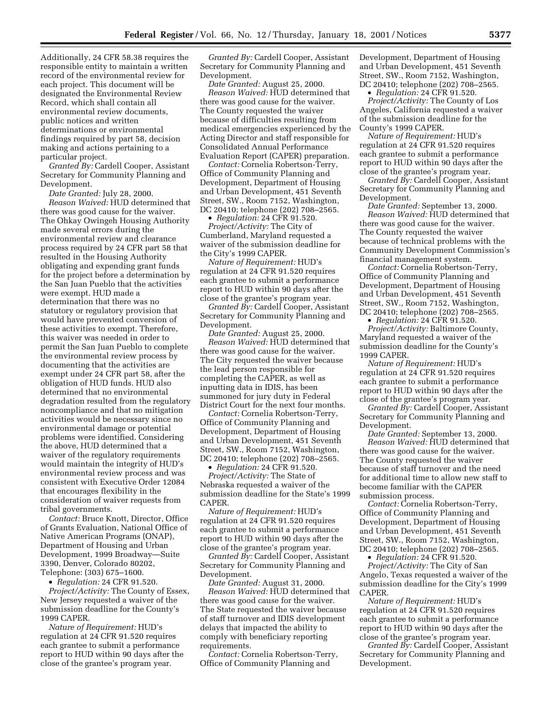Additionally, 24 CFR 58.38 requires the responsible entity to maintain a written record of the environmental review for each project. This document will be designated the Environmental Review Record, which shall contain all environmental review documents, public notices and written determinations or environmental findings required by part 58, decision making and actions pertaining to a particular project.

*Granted By:* Cardell Cooper, Assistant Secretary for Community Planning and Development.

*Date Granted:* July 28, 2000. *Reason Waived:* HUD determined that there was good cause for the waiver. The Ohkay Owingeh Housing Authority made several errors during the environmental review and clearance process required by 24 CFR part 58 that resulted in the Housing Authority obligating and expending grant funds for the project before a determination by the San Juan Pueblo that the activities were exempt. HUD made a determination that there was no statutory or regulatory provision that would have prevented conversion of these activities to exempt. Therefore, this waiver was needed in order to permit the San Juan Pueblo to complete the environmental review process by documenting that the activities are exempt under 24 CFR part 58, after the obligation of HUD funds. HUD also determined that no environmental degradation resulted from the regulatory noncompliance and that no mitigation activities would be necessary since no environmental damage or potential problems were identified. Considering the above, HUD determined that a waiver of the regulatory requirements would maintain the integrity of HUD's environmental review process and was consistent with Executive Order 12084 that encourages flexibility in the consideration of waiver requests from tribal governments.

*Contact:* Bruce Knott, Director, Office of Grants Evaluation, National Office of Native American Programs (ONAP), Department of Housing and Urban Development, 1999 Broadway—Suite 3390, Denver, Colorado 80202, Telephone: (303) 675–1600.

• *Regulation:* 24 CFR 91.520.

*Project/Activity:* The County of Essex, New Jersey requested a waiver of the submission deadline for the County's 1999 CAPER.

*Nature of Requirement:* HUD's regulation at 24 CFR 91.520 requires each grantee to submit a performance report to HUD within 90 days after the close of the grantee's program year.

*Granted By:* Cardell Cooper, Assistant Secretary for Community Planning and Development.

*Date Granted:* August 25, 2000. *Reason Waived:* HUD determined that there was good cause for the waiver. The County requested the waiver because of difficulties resulting from medical emergencies experienced by the Acting Director and staff responsible for Consolidated Annual Performance Evaluation Report (CAPER) preparation.

*Contact:* Cornelia Robertson-Terry, Office of Community Planning and Development, Department of Housing and Urban Development, 451 Seventh Street, SW., Room 7152, Washington, DC 20410; telephone (202) 708–2565.

• *Regulation:* 24 CFR 91.520. *Project/Activity:* The City of Cumberland, Maryland requested a waiver of the submission deadline for the City's 1999 CAPER.

*Nature of Requirement:* HUD's regulation at 24 CFR 91.520 requires each grantee to submit a performance report to HUD within 90 days after the close of the grantee's program year.

*Granted By:* Cardell Cooper, Assistant Secretary for Community Planning and Development.

*Date Granted:* August 25, 2000. *Reason Waived:* HUD determined that there was good cause for the waiver. The City requested the waiver because the lead person responsible for completing the CAPER, as well as inputting data in IDIS, has been summoned for jury duty in Federal District Court for the next four months.

*Contact:* Cornelia Robertson-Terry, Office of Community Planning and Development, Department of Housing and Urban Development, 451 Seventh Street, SW., Room 7152, Washington, DC 20410; telephone (202) 708–2565.

• *Regulation:* 24 CFR 91.520. *Project/Activity:* The State of Nebraska requested a waiver of the submission deadline for the State's 1999 CAPER.

*Nature of Requirement:* HUD's regulation at 24 CFR 91.520 requires each grantee to submit a performance report to HUD within 90 days after the close of the grantee's program year.

*Granted By:* Cardell Cooper, Assistant Secretary for Community Planning and Development.

*Date Granted:* August 31, 2000. *Reason Waived:* HUD determined that there was good cause for the waiver. The State requested the waiver because of staff turnover and IDIS development delays that impacted the ability to comply with beneficiary reporting requirements.

*Contact:* Cornelia Robertson-Terry, Office of Community Planning and

Development, Department of Housing and Urban Development, 451 Seventh Street, SW., Room 7152, Washington, DC 20410; telephone (202) 708–2565.

• *Regulation:* 24 CFR 91.520.

*Project/Activity:* The County of Los Angeles, California requested a waiver of the submission deadline for the County's 1999 CAPER.

*Nature of Requirement:* HUD's regulation at 24 CFR 91.520 requires each grantee to submit a performance report to HUD within 90 days after the close of the grantee's program year.

*Granted By:* Cardell Cooper, Assistant Secretary for Community Planning and Development.

*Date Granted:* September 13, 2000. *Reason Waived:* HUD determined that there was good cause for the waiver. The County requested the waiver because of technical problems with the Community Development Commission's financial management system.

*Contact:* Cornelia Robertson-Terry, Office of Community Planning and Development, Department of Housing and Urban Development, 451 Seventh Street, SW., Room 7152, Washington, DC 20410; telephone (202) 708–2565.

• *Regulation:* 24 CFR 91.520.

*Project/Activity:* Baltimore County, Maryland requested a waiver of the submission deadline for the County's 1999 CAPER.

*Nature of Requirement:* HUD's regulation at 24 CFR 91.520 requires each grantee to submit a performance report to HUD within 90 days after the close of the grantee's program year.

*Granted By:* Cardell Cooper, Assistant Secretary for Community Planning and Development.

*Date Granted:* September 13, 2000. *Reason Waived:* HUD determined that there was good cause for the waiver. The County requested the waiver because of staff turnover and the need for additional time to allow new staff to become familiar with the CAPER submission process.

*Contact:* Cornelia Robertson-Terry, Office of Community Planning and Development, Department of Housing and Urban Development, 451 Seventh Street, SW., Room 7152, Washington, DC 20410; telephone (202) 708–2565.

• *Regulation:* 24 CFR 91.520.

*Project/Activity:* The City of San Angelo, Texas requested a waiver of the submission deadline for the City's 1999 CAPER.

*Nature of Requirement:* HUD's regulation at 24 CFR 91.520 requires each grantee to submit a performance report to HUD within 90 days after the close of the grantee's program year.

*Granted By:* Cardell Cooper, Assistant Secretary for Community Planning and Development.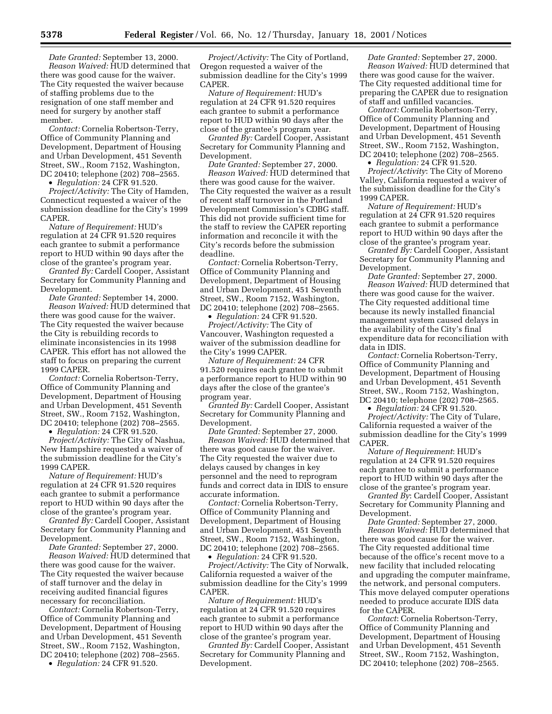*Date Granted:* September 13, 2000. *Reason Waived:* HUD determined that there was good cause for the waiver. The City requested the waiver because of staffing problems due to the resignation of one staff member and need for surgery by another staff member.

*Contact:* Cornelia Robertson-Terry, Office of Community Planning and Development, Department of Housing and Urban Development, 451 Seventh Street, SW., Room 7152, Washington, DC 20410; telephone (202) 708–2565.

• *Regulation:* 24 CFR 91.520.

*Project/Activity:* The City of Hamden, Connecticut requested a waiver of the submission deadline for the City's 1999 CAPER.

*Nature of Requirement:* HUD's regulation at 24 CFR 91.520 requires each grantee to submit a performance report to HUD within 90 days after the close of the grantee's program year.

*Granted By:* Cardell Cooper, Assistant Secretary for Community Planning and Development.

*Date Granted:* September 14, 2000. *Reason Waived:* HUD determined that there was good cause for the waiver. The City requested the waiver because the City is rebuilding records to eliminate inconsistencies in its 1998 CAPER. This effort has not allowed the staff to focus on preparing the current 1999 CAPER.

*Contact:* Cornelia Robertson-Terry, Office of Community Planning and Development, Department of Housing and Urban Development, 451 Seventh Street, SW., Room 7152, Washington, DC 20410; telephone (202) 708–2565.

• *Regulation:* 24 CFR 91.520.

*Project/Activity:* The City of Nashua, New Hampshire requested a waiver of the submission deadline for the City's 1999 CAPER.

*Nature of Requirement:* HUD's regulation at 24 CFR 91.520 requires each grantee to submit a performance report to HUD within 90 days after the close of the grantee's program year.

*Granted By:* Cardell Cooper, Assistant Secretary for Community Planning and Development.

*Date Granted:* September 27, 2000. *Reason Waived:* HUD determined that there was good cause for the waiver. The City requested the waiver because of staff turnover and the delay in receiving audited financial figures necessary for reconciliation.

*Contact:* Cornelia Robertson-Terry, Office of Community Planning and Development, Department of Housing and Urban Development, 451 Seventh Street, SW., Room 7152, Washington, DC 20410; telephone (202) 708–2565.

• *Regulation:* 24 CFR 91.520.

*Project/Activity:* The City of Portland, Oregon requested a waiver of the submission deadline for the City's 1999 CAPER.

*Nature of Requirement:* HUD's regulation at 24 CFR 91.520 requires each grantee to submit a performance report to HUD within 90 days after the close of the grantee's program year.

*Granted By:* Cardell Cooper, Assistant Secretary for Community Planning and Development.

*Date Granted:* September 27, 2000. *Reason Waived:* HUD determined that there was good cause for the waiver. The City requested the waiver as a result of recent staff turnover in the Portland Development Commission's CDBG staff. This did not provide sufficient time for the staff to review the CAPER reporting information and reconcile it with the City's records before the submission deadline.

*Contact:* Cornelia Robertson-Terry, Office of Community Planning and Development, Department of Housing and Urban Development, 451 Seventh Street, SW., Room 7152, Washington, DC 20410; telephone (202) 708–2565.

• *Regulation:* 24 CFR 91.520.

*Project/Activity:* The City of Vancouver, Washington requested a waiver of the submission deadline for the City's 1999 CAPER.

*Nature of Requirement:* 24 CFR 91.520 requires each grantee to submit a performance report to HUD within 90 days after the close of the grantee's program year.

*Granted By:* Cardell Cooper, Assistant Secretary for Community Planning and Development.

*Date Granted:* September 27, 2000. *Reason Waived:* HUD determined that there was good cause for the waiver. The City requested the waiver due to delays caused by changes in key personnel and the need to reprogram funds and correct data in IDIS to ensure accurate information.

*Contact:* Cornelia Robertson-Terry, Office of Community Planning and Development, Department of Housing and Urban Development, 451 Seventh Street, SW., Room 7152, Washington, DC 20410; telephone (202) 708–2565. • *Regulation:* 24 CFR 91.520.

*Project/Activity:* The City of Norwalk, California requested a waiver of the submission deadline for the City's 1999 CAPER.

*Nature of Requirement:* HUD's regulation at 24 CFR 91.520 requires each grantee to submit a performance report to HUD within 90 days after the close of the grantee's program year.

*Granted By:* Cardell Cooper, Assistant Secretary for Community Planning and Development.

*Date Granted:* September 27, 2000. *Reason Waived:* HUD determined that there was good cause for the waiver. The City requested additional time for preparing the CAPER due to resignation of staff and unfilled vacancies.

*Contact:* Cornelia Robertson-Terry, Office of Community Planning and Development, Department of Housing and Urban Development, 451 Seventh Street, SW., Room 7152, Washington, DC 20410; telephone (202) 708–2565.

• *Regulation:* 24 CFR 91.520. *Project/Activity*: The City of Moreno Valley, California requested a waiver of the submission deadline for the City's

1999 CAPER. *Nature of Requirement:* HUD's regulation at 24 CFR 91.520 requires each grantee to submit a performance report to HUD within 90 days after the

close of the grantee's program year. *Granted By:* Cardell Cooper, Assistant Secretary for Community Planning and Development.

*Date Granted:* September 27, 2000. *Reason Waived:* HUD determined that there was good cause for the waiver. The City requested additional time because its newly installed financial management system caused delays in the availability of the City's final expenditure data for reconciliation with data in IDIS.

*Contact:* Cornelia Robertson-Terry, Office of Community Planning and Development, Department of Housing and Urban Development, 451 Seventh Street, SW., Room 7152, Washington, DC 20410; telephone (202) 708–2565.

• *Regulation:* 24 CFR 91.520.

*Project/Activity:* The City of Tulare, California requested a waiver of the submission deadline for the City's 1999 CAPER.

*Nature of Requirement*: HUD's regulation at 24 CFR 91.520 requires each grantee to submit a performance report to HUD within 90 days after the close of the grantee's program year.

*Granted By*: Cardell Cooper, Assistant Secretary for Community Planning and Development.

*Date Granted:* September 27, 2000. *Reason Waived:* HUD determined that there was good cause for the waiver. The City requested additional time because of the office's recent move to a new facility that included relocating and upgrading the computer mainframe, the network, and personal computers. This move delayed computer operations needed to produce accurate IDIS data for the CAPER.

*Contact*: Cornelia Robertson-Terry, Office of Community Planning and Development, Department of Housing and Urban Development, 451 Seventh Street, SW., Room 7152, Washington, DC 20410; telephone (202) 708–2565.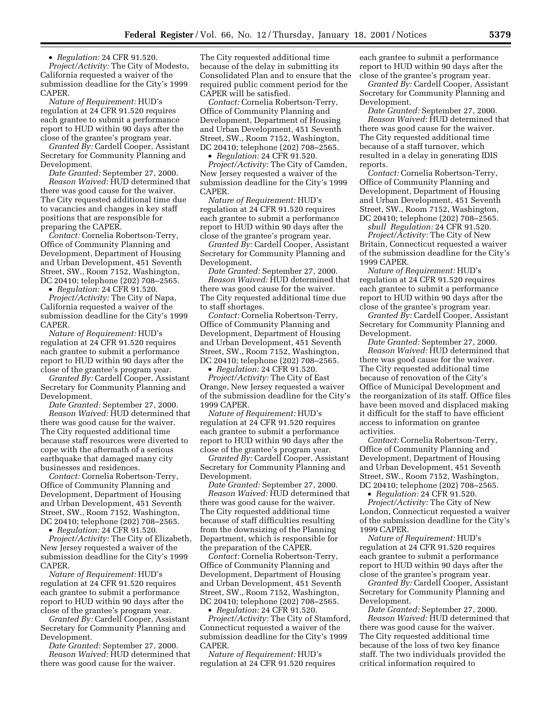• *Regulation:* 24 CFR 91.520.

*Project/Activity:* The City of Modesto, California requested a waiver of the submission deadline for the City's 1999 CAPER.

*Nature of Requirement:* HUD's regulation at 24 CFR 91.520 requires each grantee to submit a performance report to HUD within 90 days after the close of the grantee's program year.

*Granted By:* Cardell Cooper, Assistant Secretary for Community Planning and Development.

*Date Granted:* September 27, 2000. *Reason Waived:* HUD determined that there was good cause for the waiver. The City requested additional time due to vacancies and changes in key staff positions that are responsible for preparing the CAPER.

*Contact:* Cornelia Robertson-Terry, Office of Community Planning and Development, Department of Housing and Urban Development, 451 Seventh Street, SW., Room 7152, Washington, DC 20410; telephone (202) 708–2565.

• *Regulation:* 24 CFR 91.520.

*Project/Activity:* The City of Napa, California requested a waiver of the submission deadline for the City's 1999 CAPER.

*Nature of Requirement:* HUD's regulation at 24 CFR 91.520 requires each grantee to submit a performance report to HUD within 90 days after the close of the grantee's program year.

*Granted By:* Cardell Cooper, Assistant Secretary for Community Planning and Development.

*Date Granted:* September 27, 2000. *Reason Waived:* HUD determined that there was good cause for the waiver. The City requested additional time because staff resources were diverted to cope with the aftermath of a serious earthquake that damaged many city businesses and residences.

*Contact:* Cornelia Robertson-Terry, Office of Community Planning and Development, Department of Housing and Urban Development, 451 Seventh Street, SW., Room 7152, Washington, DC 20410; telephone (202) 708–2565.

• *Regulation:* 24 CFR 91.520.

*Project/Activity:* The City of Elizabeth, New Jersey requested a waiver of the submission deadline for the City's 1999 CAPER.

*Nature of Requirement:* HUD's regulation at 24 CFR 91.520 requires each grantee to submit a performance report to HUD within 90 days after the close of the grantee's program year.

*Granted By:* Cardell Cooper, Assistant Secretary for Community Planning and Development.

*Date Granted:* September 27, 2000. *Reason Waived:* HUD determined that there was good cause for the waiver.

The City requested additional time because of the delay in submitting its Consolidated Plan and to ensure that the required public comment period for the CAPER will be satisfied.

*Contact:* Cornelia Robertson-Terry, Office of Community Planning and Development, Department of Housing and Urban Development, 451 Seventh Street, SW., Room 7152, Washington, DC 20410; telephone (202) 708–2565. • *Regulation:* 24 CFR 91.520.

*Project/Activity:* The City of Camden, New Jersey requested a waiver of the submission deadline for the City's 1999 CAPER.

*Nature of Requirement:* HUD's regulation at 24 CFR 91.520 requires each grantee to submit a performance report to HUD within 90 days after the close of the grantee's program year.

*Granted By:* Cardell Cooper, Assistant Secretary for Community Planning and Development.

*Date Granted:* September 27, 2000. *Reason Waived:* HUD determined that there was good cause for the waiver. The City requested additional time due to staff shortages.

*Contact:* Cornelia Robertson-Terry, Office of Community Planning and Development, Department of Housing and Urban Development, 451 Seventh Street, SW., Room 7152, Washington, DC 20410; telephone (202) 708–2565.

• *Regulation:* 24 CFR 91.520.

*Project/Activity:* The City of East Orange, New Jersey requested a waiver of the submission deadline for the City's 1999 CAPER.

*Nature of Requirement:* HUD's regulation at 24 CFR 91.520 requires each grantee to submit a performance report to HUD within 90 days after the close of the grantee's program year.

*Granted By:* Cardell Cooper, Assistant Secretary for Community Planning and Development.

*Date Granted:* September 27, 2000. *Reason Waived:* HUD determined that there was good cause for the waiver. The City requested additional time because of staff difficulties resulting from the downsizing of the Planning Department, which is responsible for the preparation of the CAPER.

*Contact:* Cornelia Robertson-Terry, Office of Community Planning and Development, Department of Housing and Urban Development, 451 Seventh Street, SW., Room 7152, Washington, DC 20410; telephone (202) 708–2565.

• *Regulation:* 24 CFR 91.520.

*Project/Activity:* The City of Stamford, Connecticut requested a waiver of the submission deadline for the City's 1999 CAPER.

*Nature of Requirement:* HUD's regulation at 24 CFR 91.520 requires each grantee to submit a performance report to HUD within 90 days after the close of the grantee's program year.

*Granted By:* Cardell Cooper, Assistant Secretary for Community Planning and Development.

*Date Granted:* September 27, 2000. *Reason Waived:* HUD determined that there was good cause for the waiver. The City requested additional time because of a staff turnover, which resulted in a delay in generating IDIS reports.

*Contact:* Cornelia Robertson-Terry, Office of Community Planning and Development, Department of Housing and Urban Development, 451 Seventh Street, SW., Room 7152, Washington, DC 20410; telephone (202) 708–2565.

*sbull Regulation:* 24 CFR 91.520. *Project/Activity:* The City of New Britain, Connecticut requested a waiver of the submission deadline for the City's 1999 CAPER.

*Nature of Requirement:* HUD's regulation at 24 CFR 91.520 requires each grantee to submit a performance report to HUD within 90 days after the close of the grantee's program year.

*Granted By:* Cardell Cooper, Assistant Secretary for Community Planning and Development.

*Date Granted:* September 27, 2000. *Reason Waived:* HUD determined that there was good cause for the waiver. The City requested additional time because of renovation of the City's Office of Municipal Development and the reorganization of its staff. Office files have been moved and displaced making it difficult for the staff to have efficient access to information on grantee activities.

*Contact:* Cornelia Robertson-Terry, Office of Community Planning and Development, Department of Housing and Urban Development, 451 Seventh Street, SW., Room 7152, Washington, DC 20410; telephone (202) 708–2565.

• *Regulation:* 24 CFR 91.520.

*Project/Activity:* The City of New London, Connecticut requested a waiver of the submission deadline for the City's 1999 CAPER.

*Nature of Requirement:* HUD's regulation at 24 CFR 91.520 requires each grantee to submit a performance report to HUD within 90 days after the close of the grantee's program year.

*Granted By:* Cardell Cooper, Assistant Secretary for Community Planning and Development.

*Date Granted:* September 27, 2000. *Reason Waived:* HUD determined that there was good cause for the waiver. The City requested additional time because of the loss of two key finance staff. The two individuals provided the critical information required to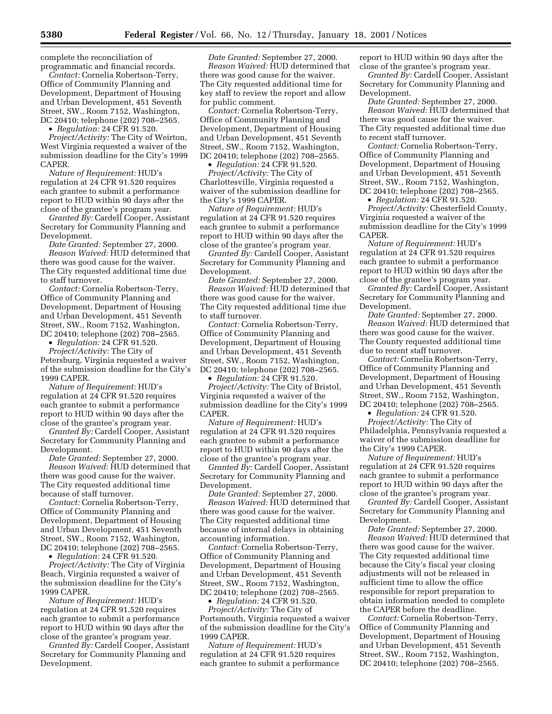complete the reconciliation of programmatic and financial records.

*Contact:* Cornelia Robertson-Terry, Office of Community Planning and Development, Department of Housing and Urban Development, 451 Seventh Street, SW., Room 7152, Washington, DC 20410; telephone (202) 708–2565.

• *Regulation:* 24 CFR 91.520.

*Project/Activity:* The City of Weirton, West Virginia requested a waiver of the submission deadline for the City's 1999 CAPER.

*Nature of Requirement:* HUD's regulation at 24 CFR 91.520 requires each grantee to submit a performance report to HUD within 90 days after the close of the grantee's program year.

*Granted By:* Cardell Cooper, Assistant Secretary for Community Planning and Development.

*Date Granted:* September 27, 2000. *Reason Waived:* HUD determined that there was good cause for the waiver. The City requested additional time due to staff turnover.

*Contact:* Cornelia Robertson-Terry, Office of Community Planning and Development, Department of Housing and Urban Development, 451 Seventh Street, SW., Room 7152, Washington, DC 20410; telephone (202) 708–2565.

• *Regulation:* 24 CFR 91.520.

*Project/Activity:* The City of Petersburg, Virginia requested a waiver of the submission deadline for the City's 1999 CAPER.

*Nature of Requirement:* HUD's regulation at 24 CFR 91.520 requires each grantee to submit a performance report to HUD within 90 days after the close of the grantee's program year.

*Granted By:* Cardell Cooper, Assistant Secretary for Community Planning and Development.

*Date Granted:* September 27, 2000. *Reason Waived:* HUD determined that there was good cause for the waiver. The City requested additional time because of staff turnover.

*Contact:* Cornelia Robertson-Terry, Office of Community Planning and Development, Department of Housing and Urban Development, 451 Seventh Street, SW., Room 7152, Washington, DC 20410; telephone (202) 708–2565.

• *Regulation:* 24 CFR 91.520.

*Project/Activity:* The City of Virginia Beach, Virginia requested a waiver of the submission deadline for the City's 1999 CAPER.

*Nature of Requirement:* HUD's regulation at 24 CFR 91.520 requires each grantee to submit a performance report to HUD within 90 days after the close of the grantee's program year.

*Granted By:* Cardell Cooper, Assistant Secretary for Community Planning and Development.

*Date Granted:* September 27, 2000. *Reason Waived:* HUD determined that there was good cause for the waiver. The City requested additional time for key staff to review the report and allow for public comment.

*Contact:* Cornelia Robertson-Terry, Office of Community Planning and Development, Department of Housing and Urban Development, 451 Seventh Street, SW., Room 7152, Washington, DC 20410; telephone (202) 708–2565.

• *Regulation:* 24 CFR 91.520. *Project/Activity:* The City of Charlottesville, Virginia requested a waiver of the submission deadline for the City's 1999 CAPER.

*Nature of Requirement:* HUD's regulation at 24 CFR 91.520 requires each grantee to submit a performance report to HUD within 90 days after the close of the grantee's program year.

*Granted By:* Cardell Cooper, Assistant Secretary for Community Planning and Development.

*Date Granted:* September 27, 2000. *Reason Waived:* HUD determined that there was good cause for the waiver. The City requested additional time due to staff turnover.

*Contact:* Cornelia Robertson-Terry, Office of Community Planning and Development, Department of Housing and Urban Development, 451 Seventh Street, SW., Room 7152, Washington, DC 20410; telephone (202) 708–2565.

• *Regulation:* 24 CFR 91.520. *Project/Activity:* The City of Bristol, Virginia requested a waiver of the submission deadline for the City's 1999 CAPER.

*Nature of Requirement:* HUD's regulation at 24 CFR 91.520 requires each grantee to submit a performance report to HUD within 90 days after the close of the grantee's program year.

*Granted By:* Cardell Cooper, Assistant Secretary for Community Planning and Development.

*Date Granted:* September 27, 2000. *Reason Waived:* HUD determined that there was good cause for the waiver. The City requested additional time because of internal delays in obtaining accounting information.

*Contact:* Cornelia Robertson-Terry, Office of Community Planning and Development, Department of Housing and Urban Development, 451 Seventh Street, SW., Room 7152, Washington, DC 20410; telephone (202) 708–2565.

• *Regulation:* 24 CFR 91.520.

*Project/Activity:* The City of Portsmouth, Virginia requested a waiver of the submission deadline for the City's 1999 CAPER.

*Nature of Requirement:* HUD's regulation at 24 CFR 91.520 requires each grantee to submit a performance report to HUD within 90 days after the close of the grantee's program year.

*Granted By:* Cardell Cooper, Assistant Secretary for Community Planning and Development.

*Date Granted:* September 27, 2000. *Reason Waived:* HUD determined that there was good cause for the waiver. The City requested additional time due to recent staff turnover.

*Contact:* Cornelia Robertson-Terry, Office of Community Planning and Development, Department of Housing and Urban Development, 451 Seventh Street, SW., Room 7152, Washington, DC 20410; telephone (202) 708–2565.

• *Regulation:* 24 CFR 91.520.

*Project/Activity:* Chesterfield County, Virginia requested a waiver of the submission deadline for the City's 1999 CAPER.

*Nature of Requirement:* HUD's regulation at 24 CFR 91.520 requires each grantee to submit a performance report to HUD within 90 days after the close of the grantee's program year.

*Granted By:* Cardell Cooper, Assistant Secretary for Community Planning and Development.

*Date Granted:* September 27, 2000. *Reason Waived:* HUD determined that there was good cause for the waiver. The County requested additional time due to recent staff turnover.

*Contact:* Cornelia Robertson-Terry, Office of Community Planning and Development, Department of Housing and Urban Development, 451 Seventh Street, SW., Room 7152, Washington, DC 20410; telephone (202) 708–2565.

• *Regulation:* 24 CFR 91.520. *Project/Activity:* The City of Philadelphia, Pennsylvania requested a waiver of the submission deadline for the City's 1999 CAPER.

*Nature of Requirement:* HUD's regulation at 24 CFR 91.520 requires each grantee to submit a performance report to HUD within 90 days after the close of the grantee's program year.

*Granted By:* Cardell Cooper, Assistant Secretary for Community Planning and Development.

*Date Granted:* September 27, 2000. *Reason Waived:* HUD determined that there was good cause for the waiver. The City requested additional time because the City's fiscal year closing adjustments will not be released in sufficient time to allow the office responsible for report preparation to obtain information needed to complete the CAPER before the deadline.

*Contact:* Cornelia Robertson-Terry, Office of Community Planning and Development, Department of Housing and Urban Development, 451 Seventh Street, SW., Room 7152, Washington, DC 20410; telephone (202) 708–2565.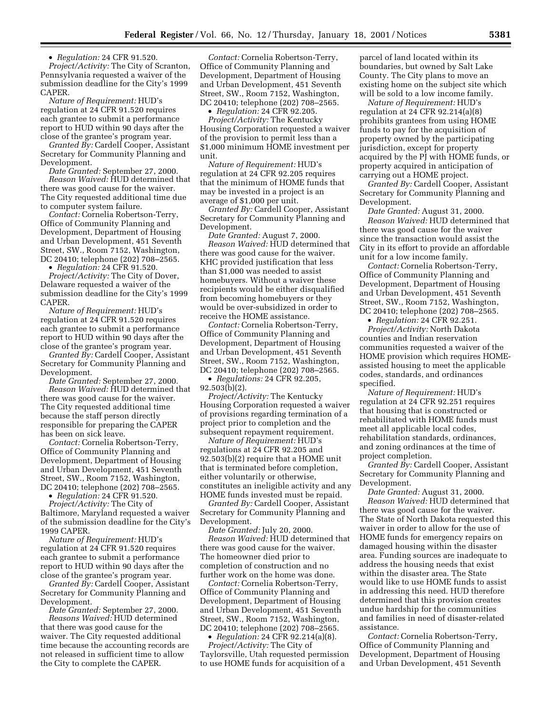• *Regulation:* 24 CFR 91.520.

*Project/Activity:* The City of Scranton, Pennsylvania requested a waiver of the submission deadline for the City's 1999 CAPER.

*Nature of Requirement:* HUD's regulation at 24 CFR 91.520 requires each grantee to submit a performance report to HUD within 90 days after the close of the grantee's program year.

*Granted By:* Cardell Cooper, Assistant Secretary for Community Planning and Development.

*Date Granted:* September 27, 2000. *Reason Waived:* HUD determined that there was good cause for the waiver. The City requested additional time due to computer system failure.

*Contact:* Cornelia Robertson-Terry, Office of Community Planning and Development, Department of Housing and Urban Development, 451 Seventh Street, SW., Room 7152, Washington, DC 20410; telephone (202) 708–2565.

• *Regulation:* 24 CFR 91.520.

*Project/Activity:* The City of Dover, Delaware requested a waiver of the submission deadline for the City's 1999 CAPER.

*Nature of Requirement:* HUD's regulation at 24 CFR 91.520 requires each grantee to submit a performance report to HUD within 90 days after the close of the grantee's program year.

*Granted By:* Cardell Cooper, Assistant Secretary for Community Planning and Development.

*Date Granted:* September 27, 2000. *Reason Waived:* HUD determined that there was good cause for the waiver. The City requested additional time because the staff person directly responsible for preparing the CAPER has been on sick leave.

*Contact:* Cornelia Robertson-Terry, Office of Community Planning and Development, Department of Housing and Urban Development, 451 Seventh Street, SW., Room 7152, Washington, DC 20410; telephone (202) 708–2565.

• *Regulation:* 24 CFR 91.520.

*Project/Activity:* The City of Baltimore, Maryland requested a waiver of the submission deadline for the City's 1999 CAPER.

*Nature of Requirement:* HUD's regulation at 24 CFR 91.520 requires each grantee to submit a performance report to HUD within 90 days after the close of the grantee's program year.

*Granted By:* Cardell Cooper, Assistant Secretary for Community Planning and Development.

*Date Granted:* September 27, 2000. *Reasons Waived:* HUD determined that there was good cause for the waiver. The City requested additional time because the accounting records are not released in sufficient time to allow the City to complete the CAPER.

*Contact:* Cornelia Robertson-Terry, Office of Community Planning and Development, Department of Housing and Urban Development, 451 Seventh Street, SW., Room 7152, Washington, DC 20410; telephone (202) 708–2565.

• *Regulation:* 24 CFR 92.205.

*Project/Activity:* The Kentucky Housing Corporation requested a waiver of the provision to permit less than a \$1,000 minimum HOME investment per unit.

*Nature of Requirement:* HUD's regulation at 24 CFR 92.205 requires that the minimum of HOME funds that may be invested in a project is an average of \$1,000 per unit.

*Granted By:* Cardell Cooper, Assistant Secretary for Community Planning and Development.

*Date Granted:* August 7, 2000. *Reason Waived:* HUD determined that there was good cause for the waiver. KHC provided justification that less than \$1,000 was needed to assist homebuyers. Without a waiver these recipients would be either disqualified from becoming homebuyers or they would be over-subsidized in order to receive the HOME assistance.

*Contact:* Cornelia Robertson-Terry, Office of Community Planning and Development, Department of Housing and Urban Development, 451 Seventh Street, SW., Room 7152, Washington, DC 20410; telephone (202) 708–2565.

• *Regulations:* 24 CFR 92.205, 92.503(b)(2).

*Project/Activity:* The Kentucky Housing Corporation requested a waiver of provisions regarding termination of a project prior to completion and the subsequent repayment requirement.

*Nature of Requirement:* HUD's regulations at 24 CFR 92.205 and 92.503(b)(2) require that a HOME unit that is terminated before completion, either voluntarily or otherwise, constitutes an ineligible activity and any HOME funds invested must be repaid.

*Granted By:* Cardell Cooper, Assistant Secretary for Community Planning and Development.

*Date Granted:* July 20, 2000. *Reason Waived:* HUD determined that there was good cause for the waiver. The homeowner died prior to completion of construction and no further work on the home was done.

*Contact:* Cornelia Robertson-Terry, Office of Community Planning and Development, Department of Housing and Urban Development, 451 Seventh Street, SW., Room 7152, Washington, DC 20410; telephone (202) 708–2565.

• *Regulation:* 24 CFR 92.214(a)(8). *Project/Activity:* The City of Taylorsville, Utah requested permission to use HOME funds for acquisition of a

parcel of land located within its boundaries, but owned by Salt Lake County. The City plans to move an existing home on the subject site which will be sold to a low income family.

*Nature of Requirement:* HUD's regulation at 24 CFR 92.214(a)(8) prohibits grantees from using HOME funds to pay for the acquisition of property owned by the participating jurisdiction, except for property acquired by the PJ with HOME funds, or property acquired in anticipation of carrying out a HOME project.

*Granted By:* Cardell Cooper, Assistant Secretary for Community Planning and Development.

*Date Granted:* August 31, 2000. *Reason Waived:* HUD determined that there was good cause for the waiver since the transaction would assist the City in its effort to provide an affordable unit for a low income family.

*Contact:* Cornelia Robertson-Terry, Office of Community Planning and Development, Department of Housing and Urban Development, 451 Seventh Street, SW., Room 7152, Washington, DC 20410; telephone (202) 708–2565.

• *Regulation:* 24 CFR 92.251.

*Project/Activity:* North Dakota counties and Indian reservation communities requested a waiver of the HOME provision which requires HOMEassisted housing to meet the applicable codes, standards, and ordinances specified.

*Nature of Requirement:* HUD's regulation at 24 CFR 92.251 requires that housing that is constructed or rehabilitated with HOME funds must meet all applicable local codes, rehabilitation standards, ordinances, and zoning ordinances at the time of project completion.

*Granted By:* Cardell Cooper, Assistant Secretary for Community Planning and Development.

*Date Granted:* August 31, 2000. *Reason Waived:* HUD determined that there was good cause for the waiver. The State of North Dakota requested this waiver in order to allow for the use of HOME funds for emergency repairs on damaged housing within the disaster area. Funding sources are inadequate to address the housing needs that exist within the disaster area. The State would like to use HOME funds to assist in addressing this need. HUD therefore determined that this provision creates undue hardship for the communities and families in need of disaster-related assistance.

*Contact:* Cornelia Robertson-Terry, Office of Community Planning and Development, Department of Housing and Urban Development, 451 Seventh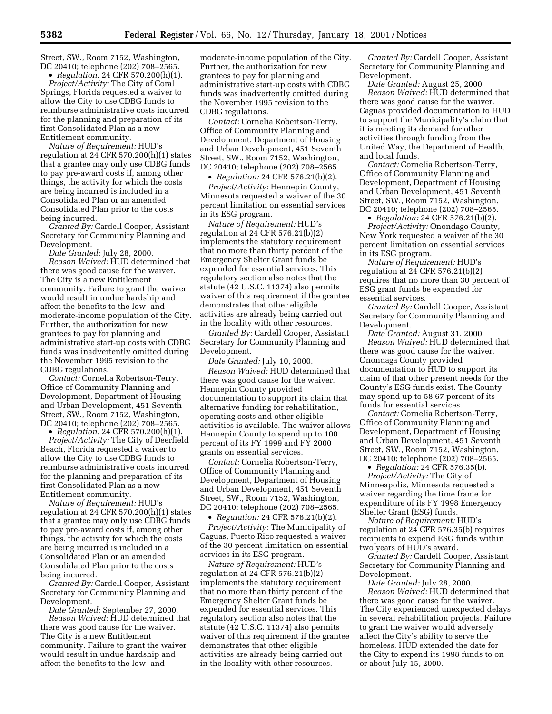Street, SW., Room 7152, Washington, DC 20410; telephone (202) 708–2565.

• *Regulation:* 24 CFR 570.200(h)(1). *Project/Activity:* The City of Coral Springs, Florida requested a waiver to allow the City to use CDBG funds to reimburse administrative costs incurred for the planning and preparation of its first Consolidated Plan as a new Entitlement community.

*Nature of Requirement:* HUD's regulation at 24 CFR 570.200(h)(1) states that a grantee may only use CDBG funds to pay pre-award costs if, among other things, the activity for which the costs are being incurred is included in a Consolidated Plan or an amended Consolidated Plan prior to the costs being incurred.

*Granted By:* Cardell Cooper, Assistant Secretary for Community Planning and Development.

*Date Granted:* July 28, 2000.

*Reason Waived:* HUD determined that there was good cause for the waiver. The City is a new Entitlement community. Failure to grant the waiver would result in undue hardship and affect the benefits to the low- and moderate-income population of the City. Further, the authorization for new grantees to pay for planning and administrative start-up costs with CDBG funds was inadvertently omitted during the November 1995 revision to the CDBG regulations.

*Contact:* Cornelia Robertson-Terry, Office of Community Planning and Development, Department of Housing and Urban Development, 451 Seventh Street, SW., Room 7152, Washington, DC 20410; telephone (202) 708–2565.

• *Regulation:* 24 CFR 570.200(h)(1). *Project/Activity:* The City of Deerfield Beach, Florida requested a waiver to allow the City to use CDBG funds to reimburse administrative costs incurred for the planning and preparation of its first Consolidated Plan as a new Entitlement community.

*Nature of Requirement:* HUD's regulation at 24 CFR 570.200(h)(1) states that a grantee may only use CDBG funds to pay pre-award costs if, among other things, the activity for which the costs are being incurred is included in a Consolidated Plan or an amended Consolidated Plan prior to the costs being incurred.

*Granted By:* Cardell Cooper, Assistant Secretary for Community Planning and Development.

*Date Granted:* September 27, 2000. *Reason Waived:* HUD determined that there was good cause for the waiver. The City is a new Entitlement community. Failure to grant the waiver would result in undue hardship and affect the benefits to the low- and

moderate-income population of the City. Further, the authorization for new grantees to pay for planning and administrative start-up costs with CDBG funds was inadvertently omitted during the November 1995 revision to the CDBG regulations.

*Contact:* Cornelia Robertson-Terry, Office of Community Planning and Development, Department of Housing and Urban Development, 451 Seventh Street, SW., Room 7152, Washington, DC 20410; telephone (202) 708–2565.

• *Regulation:* 24 CFR 576.21(b)(2).

*Project/Activity:* Hennepin County, Minnesota requested a waiver of the 30 percent limitation on essential services in its ESG program.

*Nature of Requirement:* HUD's regulation at 24 CFR 576.21(b)(2) implements the statutory requirement that no more than thirty percent of the Emergency Shelter Grant funds be expended for essential services. This regulatory section also notes that the statute (42 U.S.C. 11374) also permits waiver of this requirement if the grantee demonstrates that other eligible activities are already being carried out in the locality with other resources.

*Granted By:* Cardell Cooper, Assistant Secretary for Community Planning and Development.

*Date Granted:* July 10, 2000. *Reason Waived:* HUD determined that there was good cause for the waiver. Hennepin County provided documentation to support its claim that alternative funding for rehabilitation, operating costs and other eligible activities is available. The waiver allows Hennepin County to spend up to 100 percent of its FY 1999 and FY 2000 grants on essential services.

*Contact:* Cornelia Robertson-Terry, Office of Community Planning and Development, Department of Housing and Urban Development, 451 Seventh Street, SW., Room 7152, Washington, DC 20410; telephone (202) 708–2565.

• *Regulation:* 24 CFR 576.21(b)(2).

*Project/Activity:* The Municipality of Caguas, Puerto Rico requested a waiver of the 30 percent limitation on essential services in its ESG program.

*Nature of Requirement:* HUD's regulation at 24 CFR 576.21(b)(2) implements the statutory requirement that no more than thirty percent of the Emergency Shelter Grant funds be expended for essential services. This regulatory section also notes that the statute (42 U.S.C. 11374) also permits waiver of this requirement if the grantee demonstrates that other eligible activities are already being carried out in the locality with other resources.

*Granted By:* Cardell Cooper, Assistant Secretary for Community Planning and Development.

*Date Granted:* August 25, 2000. *Reason Waived:* HUD determined that there was good cause for the waiver. Caguas provided documentation to HUD to support the Municipality's claim that it is meeting its demand for other activities through funding from the United Way, the Department of Health, and local funds.

*Contact:* Cornelia Robertson-Terry, Office of Community Planning and Development, Department of Housing and Urban Development, 451 Seventh Street, SW., Room 7152, Washington, DC 20410; telephone (202) 708–2565.

• *Regulation:* 24 CFR 576.21(b)(2).

*Project/Activity:* Onondago County, New York requested a waiver of the 30 percent limitation on essential services in its ESG program.

*Nature of Requirement:* HUD's regulation at 24 CFR 576.21(b)(2) requires that no more than 30 percent of ESG grant funds be expended for essential services.

*Granted By:* Cardell Cooper, Assistant Secretary for Community Planning and Development.

*Date Granted:* August 31, 2000. *Reason Waived:* HUD determined that there was good cause for the waiver. Onondaga County provided documentation to HUD to support its claim of that other present needs for the County's ESG funds exist. The County may spend up to 58.67 percent of its funds for essential services.

*Contact:* Cornelia Robertson-Terry, Office of Community Planning and Development, Department of Housing and Urban Development, 451 Seventh Street, SW., Room 7152, Washington, DC 20410; telephone (202) 708–2565.

• *Regulation:* 24 CFR 576.35(b). *Project/Activity:* The City of Minneapolis, Minnesota requested a waiver regarding the time frame for expenditure of its FY 1998 Emergency

Shelter Grant (ESG) funds. *Nature of Requirement:* HUD's regulation at 24 CFR 576.35(b) requires recipients to expend ESG funds within two years of HUD's award.

*Granted By:* Cardell Cooper, Assistant Secretary for Community Planning and Development.

*Date Granted:* July 28, 2000. *Reason Waived:* HUD determined that there was good cause for the waiver. The City experienced unexpected delays in several rehabilitation projects. Failure to grant the waiver would adversely affect the City's ability to serve the homeless. HUD extended the date for the City to expend its 1998 funds to on

or about July 15, 2000.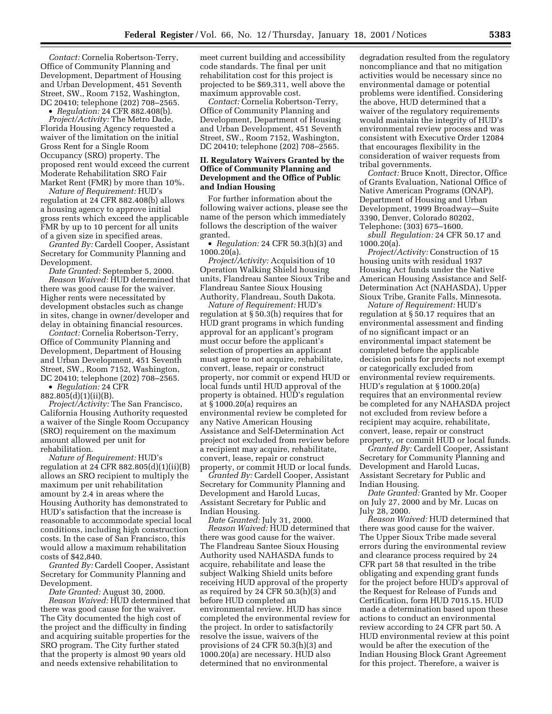*Contact:* Cornelia Robertson-Terry, Office of Community Planning and Development, Department of Housing and Urban Development, 451 Seventh Street, SW., Room 7152, Washington, DC 20410; telephone (202) 708–2565.

• *Regulation:* 24 CFR 882.408(b).

*Project/Activity:* The Metro Dade, Florida Housing Agency requested a waiver of the limitation on the initial Gross Rent for a Single Room Occupancy (SRO) property. The proposed rent would exceed the current Moderate Rehabilitation SRO Fair Market Rent (FMR) by more than 10%.

*Nature of Requirement:* HUD's regulation at 24 CFR 882.408(b) allows a housing agency to approve initial gross rents which exceed the applicable FMR by up to 10 percent for all units of a given size in specified areas.

*Granted By:* Cardell Cooper, Assistant Secretary for Community Planning and Development.

*Date Granted:* September 5, 2000. *Reason Waived:* HUD determined that there was good cause for the waiver. Higher rents were necessitated by development obstacles such as change in sites, change in owner/developer and delay in obtaining financial resources.

*Contact:* Cornelia Robertson-Terry, Office of Community Planning and Development, Department of Housing and Urban Development, 451 Seventh Street, SW., Room 7152, Washington, DC 20410; telephone (202) 708–2565.

• *Regulation:* 24 CFR 882.805(d)(1)(ii)(B).

*Project/Activity:* The San Francisco, California Housing Authority requested a waiver of the Single Room Occupancy (SRO) requirement on the maximum amount allowed per unit for rehabilitation.

*Nature of Requirement:* HUD's regulation at 24 CFR  $882.805(d)(1)(ii)(B)$ allows an SRO recipient to multiply the maximum per unit rehabilitation amount by 2.4 in areas where the Housing Authority has demonstrated to HUD's satisfaction that the increase is reasonable to accommodate special local conditions, including high construction costs. In the case of San Francisco, this would allow a maximum rehabilitation costs of \$42,840.

*Granted By:* Cardell Cooper, Assistant Secretary for Community Planning and Development.

*Date Granted:* August 30, 2000. *Reason Waived:* HUD determined that there was good cause for the waiver. The City documented the high cost of the project and the difficulty in finding and acquiring suitable properties for the SRO program. The City further stated that the property is almost 90 years old and needs extensive rehabilitation to

meet current building and accessibility code standards. The final per unit rehabilitation cost for this project is projected to be \$69,311, well above the maximum approvable cost.

*Contact:* Cornelia Robertson-Terry, Office of Community Planning and Development, Department of Housing and Urban Development, 451 Seventh Street, SW., Room 7152, Washington, DC 20410; telephone (202) 708–2565.

## **II. Regulatory Waivers Granted by the Office of Community Planning and Development and the Office of Public and Indian Housing**

For further information about the following waiver actions, please see the name of the person which immediately follows the description of the waiver granted.

• *Regulation:* 24 CFR 50.3(h)(3) and 1000.20(a).

*Project/Activity:* Acquisition of 10 Operation Walking Shield housing units, Flandreau Santee Sioux Tribe and Flandreau Santee Sioux Housing Authority, Flandreau, South Dakota.

*Nature of Requirement:* HUD's regulation at § 50.3(h) requires that for HUD grant programs in which funding approval for an applicant's program must occur before the applicant's selection of properties an applicant must agree to not acquire, rehabilitate, convert, lease, repair or construct property, nor commit or expend HUD or local funds until HUD approval of the property is obtained. HUD's regulation at § 1000.20(a) requires an environmental review be completed for any Native American Housing Assistance and Self-Determination Act project not excluded from review before a recipient may acquire, rehabilitate, convert, lease, repair or construct property, or commit HUD or local funds.

*Granted By:* Cardell Cooper, Assistant Secretary for Community Planning and Development and Harold Lucas, Assistant Secretary for Public and Indian Housing.

*Date Granted:* July 31, 2000. *Reason Waived:* HUD determined that there was good cause for the waiver. The Flandreau Santee Sioux Housing Authority used NAHASDA funds to acquire, rehabilitate and lease the subject Walking Shield units before receiving HUD approval of the property as required by 24 CFR 50.3(h)(3) and before HUD completed an environmental review. HUD has since completed the environmental review for the project. In order to satisfactorily resolve the issue, waivers of the provisions of 24 CFR 50.3(h)(3) and 1000.20(a) are necessary. HUD also determined that no environmental

degradation resulted from the regulatory noncompliance and that no mitigation activities would be necessary since no environmental damage or potential problems were identified. Considering the above, HUD determined that a waiver of the regulatory requirements would maintain the integrity of HUD's environmental review process and was consistent with Executive Order 12084 that encourages flexibility in the consideration of waiver requests from tribal governments.

*Contact:* Bruce Knott, Director, Office of Grants Evaluation, National Office of Native American Programs (ONAP), Department of Housing and Urban Development, 1999 Broadway—Suite 3390, Denver, Colorado 80202, Telephone: (303) 675–1600.

*sbull Regulation:* 24 CFR 50.17 and 1000.20(a).

*Project/Activity:* Construction of 15 housing units with residual 1937 Housing Act funds under the Native American Housing Assistance and Self-Determination Act (NAHASDA), Upper Sioux Tribe, Granite Falls, Minnesota.

*Nature of Requirement:* HUD's regulation at § 50.17 requires that an environmental assessment and finding of no significant impact or an environmental impact statement be completed before the applicable decision points for projects not exempt or categorically excluded from environmental review requirements. HUD's regulation at § 1000.20(a) requires that an environmental review be completed for any NAHASDA project not excluded from review before a recipient may acquire, rehabilitate, convert, lease, repair or construct property, or commit HUD or local funds.

*Granted By:* Cardell Cooper, Assistant Secretary for Community Planning and Development and Harold Lucas, Assistant Secretary for Public and Indian Housing.

*Date Granted:* Granted by Mr. Cooper on July 27, 2000 and by Mr. Lucas on July 28, 2000.

*Reason Waived:* HUD determined that there was good cause for the waiver. The Upper Sioux Tribe made several errors during the environmental review and clearance process required by 24 CFR part 58 that resulted in the tribe obligating and expending grant funds for the project before HUD's approval of the Request for Release of Funds and Certification, form HUD 7015.15. HUD made a determination based upon these actions to conduct an environmental review according to 24 CFR part 50. A HUD environmental review at this point would be after the execution of the Indian Housing Block Grant Agreement for this project. Therefore, a waiver is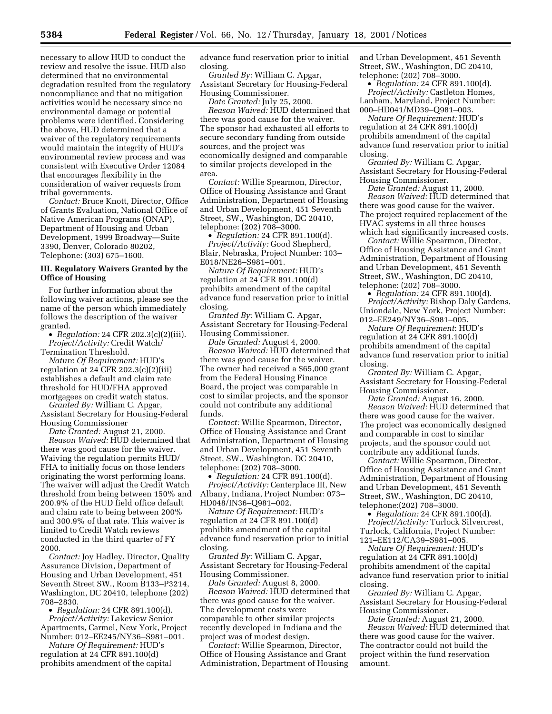necessary to allow HUD to conduct the review and resolve the issue. HUD also determined that no environmental degradation resulted from the regulatory noncompliance and that no mitigation activities would be necessary since no environmental damage or potential problems were identified. Considering the above, HUD determined that a waiver of the regulatory requirements would maintain the integrity of HUD's environmental review process and was consistent with Executive Order 12084 that encourages flexibility in the consideration of waiver requests from tribal governments.

*Contact:* Bruce Knott, Director, Office of Grants Evaluation, National Office of Native American Programs (ONAP), Department of Housing and Urban Development, 1999 Broadway—Suite 3390, Denver, Colorado 80202, Telephone: (303) 675–1600.

#### **III. Regulatory Waivers Granted by the Office of Housing**

For further information about the following waiver actions, please see the name of the person which immediately follows the description of the waiver granted.

• *Regulation:* 24 CFR 202.3(c)(2)(iii). *Project/Activity:* Credit Watch/

Termination Threshold. *Nature Of Requirement:* HUD's regulation at 24 CFR  $202.3(c)(2)(iii)$ establishes a default and claim rate threshold for HUD/FHA approved mortgagees on credit watch status.

*Granted By:* William C. Apgar, Assistant Secretary for Housing-Federal Housing Commissioner

*Date Granted:* August 21, 2000. *Reason Waived:* HUD determined that there was good cause for the waiver. Waiving the regulation permits HUD/ FHA to initially focus on those lenders originating the worst performing loans. The waiver will adjust the Credit Watch threshold from being between 150% and 200.9% of the HUD field office default and claim rate to being between 200% and 300.9% of that rate. This waiver is limited to Credit Watch reviews conducted in the third quarter of FY 2000.

*Contact:* Joy Hadley, Director, Quality Assurance Division, Department of Housing and Urban Development, 451 Seventh Street SW., Room B133–P3214, Washington, DC 20410, telephone (202) 708–2830.

• *Regulation:* 24 CFR 891.100(d). *Project/Activity:* Lakeview Senior Apartments, Carmel, New York, Project Number: 012–EE245/NY36–S981–001.

*Nature Of Requirement:* HUD's regulation at 24 CFR 891.100(d) prohibits amendment of the capital advance fund reservation prior to initial closing.

*Granted By:* William C. Apgar, Assistant Secretary for Housing-Federal Housing Commissioner.

*Date Granted:* July 25, 2000. *Reason Waived:* HUD determined that

there was good cause for the waiver. The sponsor had exhausted all efforts to secure secondary funding from outside sources, and the project was economically designed and comparable to similar projects developed in the area.

*Contact:* Willie Spearmon, Director, Office of Housing Assistance and Grant Administration, Department of Housing and Urban Development, 451 Seventh Street, SW., Washington, DC 20410, telephone: (202) 708–3000.

• *Regulation:* 24 CFR 891.100(d).

*Project/Activity:* Good Shepherd, Blair, Nebraska, Project Number: 103– E018/NE26–S981–001.

*Nature Of Requirement:* HUD's regulation at 24 CFR 891.100(d) prohibits amendment of the capital advance fund reservation prior to initial closing.

*Granted By:* William C. Apgar, Assistant Secretary for Housing-Federal Housing Commissioner.

*Date Granted:* August 4, 2000. *Reason Waived:* HUD determined that there was good cause for the waiver. The owner had received a \$65,000 grant from the Federal Housing Finance Board, the project was comparable in cost to similar projects, and the sponsor could not contribute any additional funds.

*Contact:* Willie Spearmon, Director, Office of Housing Assistance and Grant Administration, Department of Housing and Urban Development, 451 Seventh Street, SW., Washington, DC 20410, telephone: (202) 708–3000.

• *Regulation:* 24 CFR 891.100(d).

*Project/Activity:* Centerplace III, New Albany, Indiana, Project Number: 073– HD048/IN36–Q981–002.

*Nature Of Requirement:* HUD's regulation at 24 CFR 891.100(d) prohibits amendment of the capital advance fund reservation prior to initial closing.

*Granted By:* William C. Apgar, Assistant Secretary for Housing-Federal Housing Commissioner.

*Date Granted:* August 8, 2000. *Reason Waived:* HUD determined that there was good cause for the waiver. The development costs were comparable to other similar projects recently developed in Indiana and the project was of modest design.

*Contact:* Willie Spearmon, Director, Office of Housing Assistance and Grant Administration, Department of Housing and Urban Development, 451 Seventh Street, SW., Washington, DC 20410, telephone: (202) 708–3000.

• *Regulation:* 24 CFR 891.100(d). *Project/Activity:* Castleton Homes, Lanham, Maryland, Project Number: 000–HD041/MD39–Q981–003.

*Nature Of Requirement:* HUD's regulation at 24 CFR 891.100(d) prohibits amendment of the capital advance fund reservation prior to initial closing.

*Granted By:* William C. Apgar, Assistant Secretary for Housing-Federal Housing Commissioner.

*Date Granted:* August 11, 2000. *Reason Waived:* HUD determined that there was good cause for the waiver. The project required replacement of the HVAC systems in all three houses which had significantly increased costs.

*Contact:* Willie Spearmon, Director, Office of Housing Assistance and Grant Administration, Department of Housing and Urban Development, 451 Seventh Street, SW., Washington, DC 20410, telephone: (202) 708–3000.

• *Regulation:* 24 CFR 891.100(d). *Project/Activity:* Bishop Daly Gardens, Uniondale, New York, Project Number: 012–EE249/NY36–S981–005.

*Nature Of Requirement*: HUD's regulation at 24 CFR 891.100(d) prohibits amendment of the capital advance fund reservation prior to initial closing.

*Granted By:* William C. Apgar, Assistant Secretary for Housing-Federal Housing Commissioner.

*Date Granted:* August 16, 2000. *Reason Waived:* HUD determined that there was good cause for the waiver. The project was economically designed and comparable in cost to similar projects, and the sponsor could not contribute any additional funds.

*Contact:* Willie Spearmon, Director, Office of Housing Assistance and Grant Administration, Department of Housing and Urban Development, 451 Seventh Street, SW., Washington, DC 20410, telephone:(202) 708–3000.

• *Regulation:* 24 CFR 891.100(d). *Project/Activity:* Turlock Silvercrest, Turlock, California, Project Number: 121–EE112/CA39–S981–005.

*Nature Of Requirement:* HUD's regulation at 24 CFR 891.100(d) prohibits amendment of the capital advance fund reservation prior to initial closing.

*Granted By:* William C. Apgar, Assistant Secretary for Housing-Federal Housing Commissioner.

*Date Granted:* August 21, 2000. *Reason Waived:* HUD determined that there was good cause for the waiver. The contractor could not build the project within the fund reservation amount.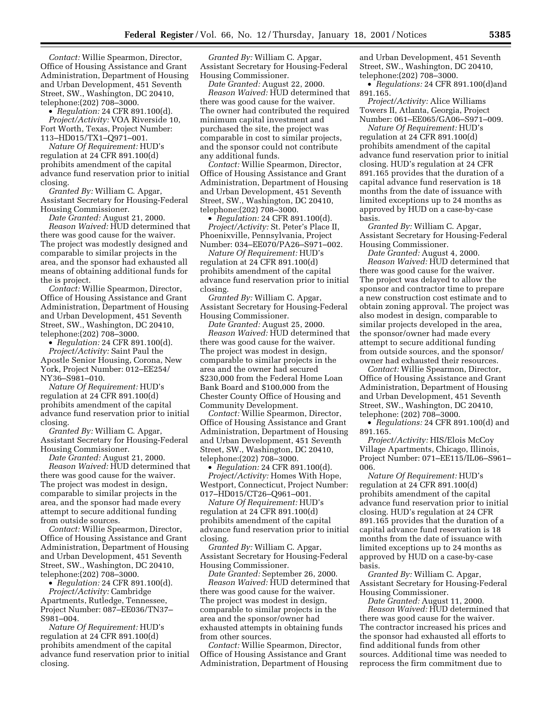*Contact:* Willie Spearmon, Director, Office of Housing Assistance and Grant Administration, Department of Housing and Urban Development, 451 Seventh Street, SW., Washington, DC 20410, telephone:(202) 708–3000.

• *Regulation:* 24 CFR 891.100(d). *Project/Activity:* VOA Riverside 10, Fort Worth, Texas, Project Number: 113–HD015/TX1–Q971–001.

*Nature Of Requirement:* HUD's regulation at 24 CFR 891.100(d) prohibits amendment of the capital advance fund reservation prior to initial closing.

*Granted By:* William C. Apgar, Assistant Secretary for Housing-Federal Housing Commissioner.

*Date Granted:* August 21, 2000.

*Reason Waived:* HUD determined that there was good cause for the waiver. The project was modestly designed and comparable to similar projects in the area, and the sponsor had exhausted all means of obtaining additional funds for the is project.

*Contact:* Willie Spearmon, Director, Office of Housing Assistance and Grant Administration, Department of Housing and Urban Development, 451 Seventh Street, SW., Washington, DC 20410, telephone:(202) 708–3000.

• *Regulation:* 24 CFR 891.100(d). *Project/Activity:* Saint Paul the Apostle Senior Housing, Corona, New York, Project Number: 012–EE254/ NY36–S981–010.

*Nature Of Requirement:* HUD's regulation at 24 CFR 891.100(d) prohibits amendment of the capital advance fund reservation prior to initial closing.

*Granted By:* William C. Apgar, Assistant Secretary for Housing-Federal Housing Commissioner.

*Date Granted:* August 21, 2000. *Reason Waived:* HUD determined that there was good cause for the waiver. The project was modest in design, comparable to similar projects in the area, and the sponsor had made every attempt to secure additional funding from outside sources.

*Contact:* Willie Spearmon, Director, Office of Housing Assistance and Grant Administration, Department of Housing and Urban Development, 451 Seventh Street, SW., Washington, DC 20410, telephone:(202) 708–3000.

• *Regulation:* 24 CFR 891.100(d). *Project/Activity:* Cambridge

Apartments, Rutledge, Tennessee, Project Number: 087–EE036/TN37– S981–004.

*Nature Of Requirement:* HUD's regulation at 24 CFR 891.100(d) prohibits amendment of the capital advance fund reservation prior to initial closing.

*Granted By:* William C. Apgar, Assistant Secretary for Housing-Federal Housing Commissioner.

*Date Granted:* August 22, 2000. *Reason Waived:* HUD determined that there was good cause for the waiver. The owner had contributed the required minimum capital investment and purchased the site, the project was comparable in cost to similar projects, and the sponsor could not contribute any additional funds.

*Contact:* Willie Spearmon, Director, Office of Housing Assistance and Grant Administration, Department of Housing and Urban Development, 451 Seventh Street, SW., Washington, DC 20410, telephone:(202) 708–3000.

• *Regulation:* 24 CFR 891.100(d). *Project/Activity:* St. Peter's Place II, Phoenixville, Pennsylvania, Project Number: 034–EE070/PA26–S971–002.

*Nature Of Requirement:* HUD's regulation at 24 CFR 891.100(d) prohibits amendment of the capital advance fund reservation prior to initial closing.

*Granted By:* William C. Apgar, Assistant Secretary for Housing-Federal Housing Commissioner.

*Date Granted:* August 25, 2000. *Reason Waived:* HUD determined that there was good cause for the waiver. The project was modest in design, comparable to similar projects in the area and the owner had secured \$230,000 from the Federal Home Loan Bank Board and \$100,000 from the Chester County Office of Housing and Community Development.

*Contact:* Willie Spearmon, Director, Office of Housing Assistance and Grant Administration, Department of Housing and Urban Development, 451 Seventh Street, SW., Washington, DC 20410, telephone:(202) 708–3000.

• *Regulation:* 24 CFR 891.100(d). *Project/Activity:* Homes With Hope, Westport, Connecticut, Project Number: 017–HD015/CT26–Q961–001.

*Nature Of Requirement:* HUD's regulation at 24 CFR 891.100(d) prohibits amendment of the capital advance fund reservation prior to initial closing.

*Granted By:* William C. Apgar, Assistant Secretary for Housing-Federal Housing Commissioner.

*Date Granted:* September 26, 2000. *Reason Waived:* HUD determined that there was good cause for the waiver. The project was modest in design, comparable to similar projects in the area and the sponsor/owner had exhausted attempts in obtaining funds from other sources.

*Contact:* Willie Spearmon, Director, Office of Housing Assistance and Grant Administration, Department of Housing and Urban Development, 451 Seventh Street, SW., Washington, DC 20410, telephone:(202) 708–3000.

• *Regulations:* 24 CFR 891.100(d)and 891.165.

*Project/Activity:* Alice Williams Towers II, Atlanta, Georgia, Project Number: 061–EE065/GA06–S971–009.

*Nature Of Requirement:* HUD's regulation at 24 CFR 891.100(d) prohibits amendment of the capital advance fund reservation prior to initial closing. HUD's regulation at 24 CFR 891.165 provides that the duration of a capital advance fund reservation is 18 months from the date of issuance with limited exceptions up to 24 months as approved by HUD on a case-by-case basis.

*Granted By:* William C. Apgar, Assistant Secretary for Housing-Federal Housing Commissioner.

*Date Granted:* August 4, 2000. *Reason Waived:* HUD determined that there was good cause for the waiver. The project was delayed to allow the sponsor and contractor time to prepare a new construction cost estimate and to obtain zoning approval. The project was also modest in design, comparable to similar projects developed in the area, the sponsor/owner had made every attempt to secure additional funding from outside sources, and the sponsor/ owner had exhausted their resources.

*Contact:* Willie Spearmon, Director, Office of Housing Assistance and Grant Administration, Department of Housing and Urban Development, 451 Seventh Street, SW., Washington, DC 20410, telephone: (202) 708–3000.

• *Regulations:* 24 CFR 891.100(d) and 891.165.

*Project/Activity:* HIS/Elois McCoy Village Apartments, Chicago, Illinois, Project Number: 071–EE115/IL06–S961– 006.

*Nature Of Requirement:* HUD's regulation at 24 CFR 891.100(d) prohibits amendment of the capital advance fund reservation prior to initial closing. HUD's regulation at 24 CFR 891.165 provides that the duration of a capital advance fund reservation is 18 months from the date of issuance with limited exceptions up to 24 months as approved by HUD on a case-by-case basis.

*Granted By:* William C. Apgar, Assistant Secretary for Housing-Federal Housing Commissioner.

*Date Granted:* August 11, 2000. *Reason Waived:* HUD determined that there was good cause for the waiver. The contractor increased his prices and the sponsor had exhausted all efforts to find additional funds from other sources. Additional time was needed to reprocess the firm commitment due to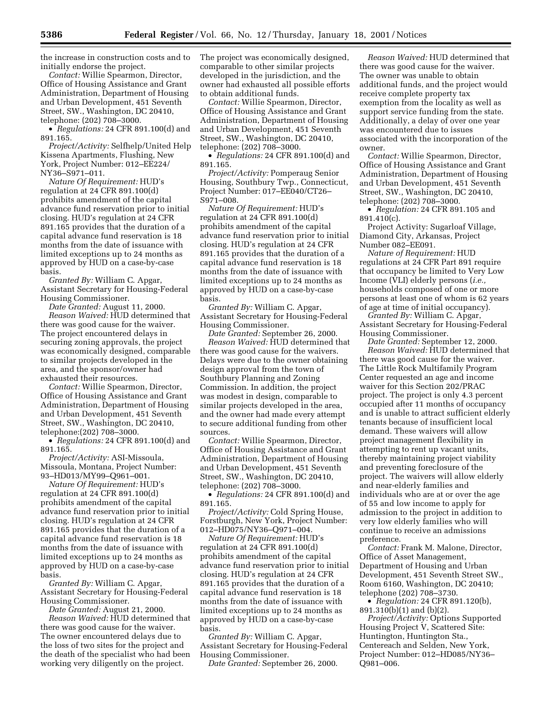the increase in construction costs and to initially endorse the project.

*Contact:* Willie Spearmon, Director, Office of Housing Assistance and Grant Administration, Department of Housing and Urban Development, 451 Seventh Street, SW., Washington, DC 20410, telephone: (202) 708–3000.

• *Regulations:* 24 CFR 891.100(d) and 891.165.

*Project/Activity:* Selfhelp/United Help Kissena Apartments, Flushing, New York, Project Number: 012–EE224/ NY36–S971–011.

*Nature Of Requirement:* HUD's regulation at 24 CFR 891.100(d) prohibits amendment of the capital advance fund reservation prior to initial closing. HUD's regulation at 24 CFR 891.165 provides that the duration of a capital advance fund reservation is 18 months from the date of issuance with limited exceptions up to 24 months as approved by HUD on a case-by-case basis.

*Granted By:* William C. Apgar, Assistant Secretary for Housing-Federal Housing Commissioner.

*Date Granted:* August 11, 2000. *Reason Waived:* HUD determined that there was good cause for the waiver. The project encountered delays in securing zoning approvals, the project was economically designed, comparable to similar projects developed in the area, and the sponsor/owner had exhausted their resources.

*Contact:* Willie Spearmon, Director, Office of Housing Assistance and Grant Administration, Department of Housing and Urban Development, 451 Seventh Street, SW., Washington, DC 20410, telephone:(202) 708–3000.

• *Regulations:* 24 CFR 891.100(d) and 891.165.

*Project/Activity:* ASI-Missoula, Missoula, Montana, Project Number: 93–HD013/MY99–Q961–001.

*Nature Of Requirement:* HUD's regulation at 24 CFR 891.100(d) prohibits amendment of the capital advance fund reservation prior to initial closing. HUD's regulation at 24 CFR 891.165 provides that the duration of a capital advance fund reservation is 18 months from the date of issuance with limited exceptions up to 24 months as approved by HUD on a case-by-case basis.

*Granted By:* William C. Apgar, Assistant Secretary for Housing-Federal Housing Commissioner.

*Date Granted:* August 21, 2000. *Reason Waived:* HUD determined that there was good cause for the waiver. The owner encountered delays due to the loss of two sites for the project and the death of the specialist who had been working very diligently on the project.

The project was economically designed, comparable to other similar projects developed in the jurisdiction, and the owner had exhausted all possible efforts to obtain additional funds.

*Contact:* Willie Spearmon, Director, Office of Housing Assistance and Grant Administration, Department of Housing and Urban Development, 451 Seventh Street, SW., Washington, DC 20410, telephone: (202) 708–3000.

• *Regulations:* 24 CFR 891.100(d) and 891.165.

*Project/Activity:* Pomperaug Senior Housing, Southbury Twp., Connecticut, Project Number: 017–EE040/CT26– S971–008.

*Nature Of Requirement:* HUD's regulation at 24 CFR 891.100(d) prohibits amendment of the capital advance fund reservation prior to initial closing. HUD's regulation at 24 CFR 891.165 provides that the duration of a capital advance fund reservation is 18 months from the date of issuance with limited exceptions up to 24 months as approved by HUD on a case-by-case basis.

*Granted By:* William C. Apgar, Assistant Secretary for Housing-Federal Housing Commissioner.

*Date Granted:* September 26, 2000. *Reason Waived:* HUD determined that there was good cause for the waivers. Delays were due to the owner obtaining design approval from the town of Southbury Planning and Zoning Commission. In addition, the project was modest in design, comparable to similar projects developed in the area, and the owner had made every attempt to secure additional funding from other sources.

*Contact:* Willie Spearmon, Director, Office of Housing Assistance and Grant Administration, Department of Housing and Urban Development, 451 Seventh Street, SW., Washington, DC 20410, telephone: (202) 708–3000.

• *Regulations:* 24 CFR 891.100(d) and 891.165.

*Project/Activity:* Cold Spring House, Forstburgh, New York, Project Number: 012–HD075/NY36–Q971–004.

*Nature Of Requirement:* HUD's regulation at 24 CFR 891.100(d) prohibits amendment of the capital advance fund reservation prior to initial closing. HUD's regulation at 24 CFR 891.165 provides that the duration of a capital advance fund reservation is 18 months from the date of issuance with limited exceptions up to 24 months as approved by HUD on a case-by-case basis.

*Granted By:* William C. Apgar, Assistant Secretary for Housing-Federal Housing Commissioner.

*Date Granted:* September 26, 2000.

*Reason Waived:* HUD determined that there was good cause for the waiver. The owner was unable to obtain additional funds, and the project would receive complete property tax exemption from the locality as well as support service funding from the state. Additionally, a delay of over one year was encountered due to issues associated with the incorporation of the owner.

*Contact:* Willie Spearmon, Director, Office of Housing Assistance and Grant Administration, Department of Housing and Urban Development, 451 Seventh Street, SW., Washington, DC 20410, telephone: (202) 708–3000.

• *Regulation:* 24 CFR 891.105 and 891.410(c).

Project Activity: Sugarloaf Village, Diamond City, Arkansas, Project Number 082–EE091.

*Nature of Requirement:* HUD regulations at 24 CFR Part 891 require that occupancy be limited to Very Low Income (VLI) elderly persons (*i.e.,* households composed of one or more persons at least one of whom is 62 years of age at time of initial occupancy).

*Granted By:* William C. Apgar, Assistant Secretary for Housing-Federal Housing Commissioner.

*Date Granted:* September 12, 2000. *Reason Waived:* HUD determined that there was good cause for the waiver. The Little Rock Multifamily Program Center requested an age and income waiver for this Section 202/PRAC project. The project is only 4.3 percent occupied after 11 months of occupancy and is unable to attract sufficient elderly tenants because of insufficient local demand. These waivers will allow project management flexibility in attempting to rent up vacant units, thereby maintaining project viability and preventing foreclosure of the project. The waivers will allow elderly and near-elderly families and individuals who are at or over the age of 55 and low income to apply for admission to the project in addition to very low elderly families who will continue to receive an admissions preference.

*Contact:* Frank M. Malone, Director, Office of Asset Management, Department of Housing and Urban Development, 451 Seventh Street SW., Room 6160, Washington, DC 20410; telephone (202) 708–3730.

• *Regulation:* 24 CFR 891.120(b), 891.310(b)(1) and (b)(2).

*Project/Activity:* Options Supported Housing Project V, Scattered Site: Huntington, Huntington Sta., Centereach and Selden, New York, Project Number: 012–HD085/NY36– Q981–006.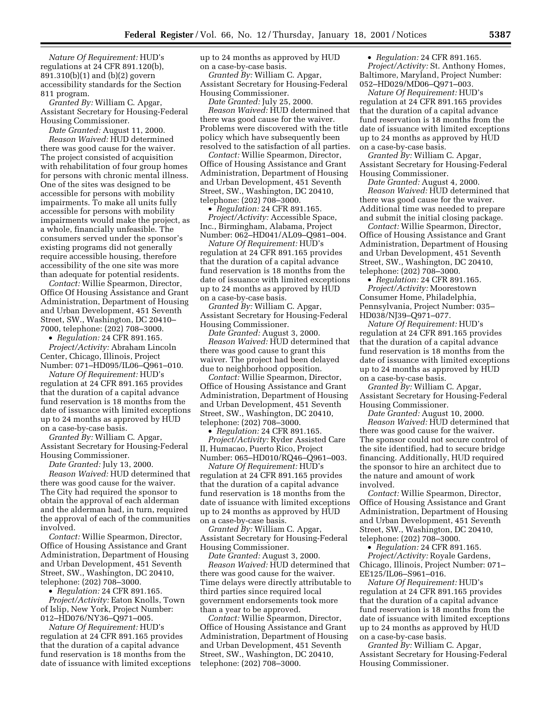*Nature Of Requirement:* HUD's regulations at 24 CFR 891.120(b), 891.310(b)(1) and (b)(2) govern accessibility standards for the Section 811 program.

*Granted By:* William C. Apgar, Assistant Secretary for Housing-Federal Housing Commissioner.

*Date Granted:* August 11, 2000. *Reason Waived:* HUD determined there was good cause for the waiver. The project consisted of acquisition with rehabilitation of four group homes for persons with chronic mental illness. One of the sites was designed to be accessible for persons with mobility impairments. To make all units fully accessible for persons with mobility impairments would make the project, as a whole, financially unfeasible. The consumers served under the sponsor's existing programs did not generally require accessible housing, therefore accessibility of the one site was more than adequate for potential residents.

*Contact:* Willie Spearmon, Director, Office Of Housing Assistance and Grant Administration, Department of Housing and Urban Development, 451 Seventh Street, SW., Washington, DC 20410– 7000, telephone: (202) 708–3000.

• *Regulation:* 24 CFR 891.165.

*Project/Activity:* Abraham Lincoln Center, Chicago, Illinois, Project Number: 071–HD095/IL06–Q961–010.

*Nature Of Requirement:* HUD's regulation at 24 CFR 891.165 provides that the duration of a capital advance fund reservation is 18 months from the date of issuance with limited exceptions up to 24 months as approved by HUD on a case-by-case basis.

*Granted By:* William C. Apgar, Assistant Secretary for Housing-Federal Housing Commissioner.

*Date Granted:* July 13, 2000.

*Reason Waived:* HUD determined that there was good cause for the waiver. The City had required the sponsor to obtain the approval of each alderman and the alderman had, in turn, required the approval of each of the communities involved.

*Contact:* Willie Spearmon, Director, Office of Housing Assistance and Grant Administration, Department of Housing and Urban Development, 451 Seventh Street, SW., Washington, DC 20410, telephone: (202) 708–3000.

• *Regulation:* 24 CFR 891.165. *Project/Activity:* Eaton Knolls, Town of Islip, New York, Project Number: 012–HD076/NY36–Q971–005.

*Nature Of Requirement:* HUD's regulation at 24 CFR 891.165 provides that the duration of a capital advance fund reservation is 18 months from the date of issuance with limited exceptions up to 24 months as approved by HUD on a case-by-case basis.

*Granted By:* William C. Apgar, Assistant Secretary for Housing-Federal Housing Commissioner.

*Date Granted:* July 25, 2000. *Reason Waived:* HUD determined that there was good cause for the waiver. Problems were discovered with the title policy which have subsequently been resolved to the satisfaction of all parties.

*Contact:* Willie Spearmon, Director, Office of Housing Assistance and Grant Administration, Department of Housing and Urban Development, 451 Seventh Street, SW., Washington, DC 20410, telephone: (202) 708–3000.

• *Regulation:* 24 CFR 891.165. *Project/Activity:* Accessible Space, Inc., Birmingham, Alabama, Project Number: 062–HD041/AL09–Q981–004.

*Nature Of Requirement:* HUD's regulation at 24 CFR 891.165 provides that the duration of a capital advance fund reservation is 18 months from the date of issuance with limited exceptions up to 24 months as approved by HUD on a case-by-case basis.

*Granted By:* William C. Apgar, Assistant Secretary for Housing-Federal Housing Commissioner.

*Date Granted:* August 3, 2000. *Reason Waived:* HUD determined that there was good cause to grant this waiver. The project had been delayed due to neighborhood opposition.

*Contact:* Willie Spearmon, Director, Office of Housing Assistance and Grant Administration, Department of Housing and Urban Development, 451 Seventh Street, SW., Washington, DC 20410, telephone: (202) 708–3000.

• *Regulation:* 24 CFR 891.165. *Project/Activity:* Ryder Assisted Care II, Humacao, Puerto Rico, Project Number: 065–HD010/RQ46–Q961–003.

*Nature Of Requirement:* HUD's regulation at 24 CFR 891.165 provides that the duration of a capital advance fund reservation is 18 months from the date of issuance with limited exceptions up to 24 months as approved by HUD on a case-by-case basis.

*Granted By:* William C. Apgar, Assistant Secretary for Housing-Federal Housing Commissioner.

*Date Granted:* August 3, 2000. *Reason Waived:* HUD determined that there was good cause for the waiver. Time delays were directly attributable to third parties since required local government endorsements took more than a year to be approved.

*Contact:* Willie Spearmon, Director, Office of Housing Assistance and Grant Administration, Department of Housing and Urban Development, 451 Seventh Street, SW., Washington, DC 20410, telephone: (202) 708–3000.

• *Regulation:* 24 CFR 891.165. *Project/Activity:* St. Anthony Homes, Baltimore, Maryland, Project Number: 052–HD029/MD06–Q971–003.

*Nature Of Requirement:* HUD's regulation at 24 CFR 891.165 provides that the duration of a capital advance fund reservation is 18 months from the date of issuance with limited exceptions up to 24 months as approved by HUD on a case-by-case basis.

*Granted By:* William C. Apgar, Assistant Secretary for Housing-Federal Housing Commissioner.

*Date Granted:* August 4, 2000. *Reason Waived:* HUD determined that there was good cause for the waiver. Additional time was needed to prepare and submit the initial closing package.

*Contact:* Willie Spearmon, Director, Office of Housing Assistance and Grant Administration, Department of Housing and Urban Development, 451 Seventh Street, SW., Washington, DC 20410, telephone: (202) 708–3000.

• *Regulation:* 24 CFR 891.165. *Project/Activity:* Moorestown Consumer Home, Philadelphia, Pennsylvania, Project Number: 035– HD038/NJ39–Q971–077.

*Nature Of Requirement:* HUD's regulation at 24 CFR 891.165 provides that the duration of a capital advance fund reservation is 18 months from the date of issuance with limited exceptions up to 24 months as approved by HUD on a case-by-case basis.

*Granted By:* William C. Apgar, Assistant Secretary for Housing-Federal Housing Commissioner.

*Date Granted:* August 10, 2000. *Reason Waived:* HUD determined that there was good cause for the waiver. The sponsor could not secure control of the site identified, had to secure bridge financing. Additionally, HUD required the sponsor to hire an architect due to the nature and amount of work involved.

*Contact:* Willie Spearmon, Director, Office of Housing Assistance and Grant Administration, Department of Housing and Urban Development, 451 Seventh Street, SW., Washington, DC 20410, telephone: (202) 708–3000.

• *Regulation:* 24 CFR 891.165. *Project/Activity:* Royale Gardens, Chicago, Illinois, Project Number: 071– EE125/IL06–S961–016.

*Nature Of Requirement:* HUD's regulation at 24 CFR 891.165 provides that the duration of a capital advance fund reservation is 18 months from the date of issuance with limited exceptions up to 24 months as approved by HUD on a case-by-case basis.

*Granted By:* William C. Apgar, Assistant Secretary for Housing-Federal Housing Commissioner.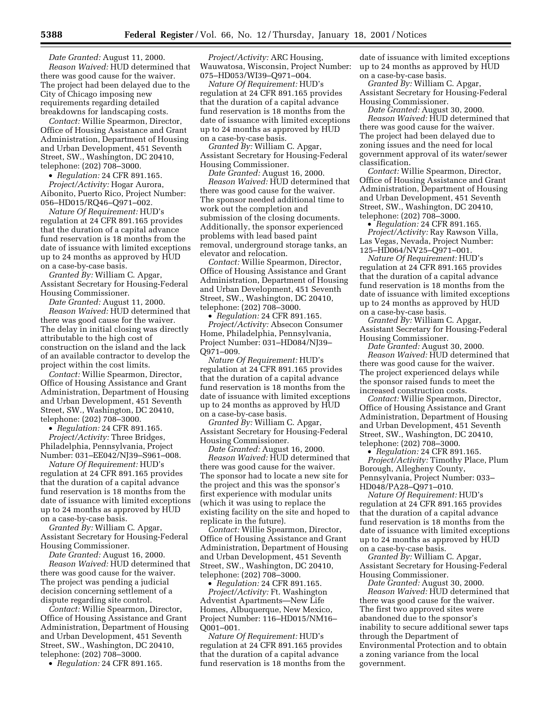*Date Granted:* August 11, 2000. *Reason Waived:* HUD determined that there was good cause for the waiver. The project had been delayed due to the City of Chicago imposing new requirements regarding detailed breakdowns for landscaping costs.

*Contact:* Willie Spearmon, Director, Office of Housing Assistance and Grant Administration, Department of Housing and Urban Development, 451 Seventh Street, SW., Washington, DC 20410, telephone: (202) 708–3000.

• *Regulation:* 24 CFR 891.165. *Project/Activity:* Hogar Aurora, Aibonito, Puerto Rico, Project Number: 056–HD015/RQ46–Q971–002.

*Nature Of Requirement:* HUD's regulation at 24 CFR 891.165 provides that the duration of a capital advance fund reservation is 18 months from the date of issuance with limited exceptions up to 24 months as approved by HUD on a case-by-case basis.

*Granted By:* William C. Apgar, Assistant Secretary for Housing-Federal Housing Commissioner.

*Date Granted:* August 11, 2000. *Reason Waived:* HUD determined that there was good cause for the waiver. The delay in initial closing was directly attributable to the high cost of construction on the island and the lack of an available contractor to develop the project within the cost limits.

*Contact:* Willie Spearmon, Director, Office of Housing Assistance and Grant Administration, Department of Housing and Urban Development, 451 Seventh Street, SW., Washington, DC 20410, telephone: (202) 708–3000.

• *Regulation:* 24 CFR 891.165.

*Project/Activity:* Three Bridges, Philadelphia, Pennsylvania, Project Number: 031–EE042/NJ39–S961–008.

*Nature Of Requirement:* HUD's regulation at 24 CFR 891.165 provides that the duration of a capital advance fund reservation is 18 months from the date of issuance with limited exceptions up to 24 months as approved by HUD on a case-by-case basis.

*Granted By:* William C. Apgar, Assistant Secretary for Housing-Federal Housing Commissioner.

*Date Granted:* August 16, 2000.

*Reason Waived:* HUD determined that there was good cause for the waiver. The project was pending a judicial decision concerning settlement of a dispute regarding site control.

*Contact:* Willie Spearmon, Director, Office of Housing Assistance and Grant Administration, Department of Housing and Urban Development, 451 Seventh Street, SW., Washington, DC 20410, telephone: (202) 708–3000.

• *Regulation:* 24 CFR 891.165.

*Project/Activity:* ARC Housing, Wauwatosa, Wisconsin, Project Number: 075–HD053/WI39–Q971–004.

*Nature Of Requirement:* HUD's regulation at 24 CFR 891.165 provides that the duration of a capital advance fund reservation is 18 months from the date of issuance with limited exceptions up to 24 months as approved by HUD on a case-by-case basis.

*Granted By:* William C. Apgar, Assistant Secretary for Housing-Federal Housing Commissioner.

*Date Granted:* August 16, 2000. *Reason Waived:* HUD determined that there was good cause for the waiver. The sponsor needed additional time to work out the completion and submission of the closing documents. Additionally, the sponsor experienced problems with lead based paint removal, underground storage tanks, an elevator and relocation.

*Contact:* Willie Spearmon, Director, Office of Housing Assistance and Grant Administration, Department of Housing and Urban Development, 451 Seventh Street, SW., Washington, DC 20410, telephone: (202) 708–3000.

• *Regulation:* 24 CFR 891.165. *Project/Activity:* Absecon Consumer Home, Philadelphia, Pennsylvania, Project Number: 031–HD084/NJ39– Q971–009.

*Nature Of Requirement:* HUD's regulation at 24 CFR 891.165 provides that the duration of a capital advance fund reservation is 18 months from the date of issuance with limited exceptions up to 24 months as approved by HUD on a case-by-case basis.

*Granted By:* William C. Apgar, Assistant Secretary for Housing-Federal Housing Commissioner.

*Date Granted:* August 16, 2000. *Reason Waived:* HUD determined that there was good cause for the waiver. The sponsor had to locate a new site for the project and this was the sponsor's first experience with modular units (which it was using to replace the existing facility on the site and hoped to replicate in the future).

*Contact:* Willie Spearmon, Director, Office of Housing Assistance and Grant Administration, Department of Housing and Urban Development, 451 Seventh Street, SW., Washington, DC 20410, telephone: (202) 708–3000.

• *Regulation:* 24 CFR 891.165. *Project/Activity:* Ft. Washington

Adventist Apartments—New Life Homes, Albuquerque, New Mexico, Project Number: 116–HD015/NM16– Q001–001.

*Nature Of Requirement:* HUD's regulation at 24 CFR 891.165 provides that the duration of a capital advance fund reservation is 18 months from the

date of issuance with limited exceptions up to 24 months as approved by HUD on a case-by-case basis.

*Granted By:* William C. Apgar, Assistant Secretary for Housing-Federal Housing Commissioner.

*Date Granted:* August 30, 2000. *Reason Waived:* HUD determined that there was good cause for the waiver. The project had been delayed due to zoning issues and the need for local government approval of its water/sewer classification.

*Contact:* Willie Spearmon, Director, Office of Housing Assistance and Grant Administration, Department of Housing and Urban Development, 451 Seventh Street, SW., Washington, DC 20410, telephone: (202) 708–3000.

• *Regulation:* 24 CFR 891.165. *Project/Activity:* Ray Rawson Villa, Las Vegas, Nevada, Project Number: 125–HD064/NV25–Q971–001.

*Nature Of Requirement:* HUD's regulation at 24 CFR 891.165 provides that the duration of a capital advance fund reservation is 18 months from the date of issuance with limited exceptions up to 24 months as approved by HUD on a case-by-case basis.

*Granted By:* William C. Apgar, Assistant Secretary for Housing-Federal Housing Commissioner.

*Date Granted:* August 30, 2000. *Reason Waived:* HUD determined that there was good cause for the waiver. The project experienced delays while the sponsor raised funds to meet the increased construction costs.

*Contact:* Willie Spearmon, Director, Office of Housing Assistance and Grant Administration, Department of Housing and Urban Development, 451 Seventh Street, SW., Washington, DC 20410, telephone: (202) 708–3000.

• *Regulation:* 24 CFR 891.165. *Project/Activity:* Timothy Place, Plum Borough, Allegheny County, Pennsylvania, Project Number: 033– HD048/PA28–Q971–010.

*Nature Of Requirement:* HUD's regulation at 24 CFR 891.165 provides that the duration of a capital advance fund reservation is 18 months from the date of issuance with limited exceptions up to 24 months as approved by HUD on a case-by-case basis.

*Granted By:* William C. Apgar, Assistant Secretary for Housing-Federal Housing Commissioner.

*Date Granted:* August 30, 2000. *Reason Waived:* HUD determined that there was good cause for the waiver. The first two approved sites were abandoned due to the sponsor's inability to secure additional sewer taps through the Department of Environmental Protection and to obtain a zoning variance from the local government.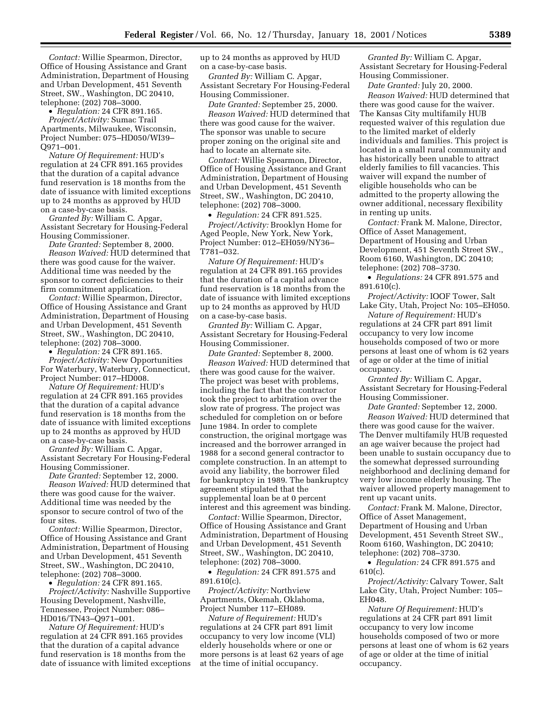*Contact:* Willie Spearmon, Director, Office of Housing Assistance and Grant Administration, Department of Housing and Urban Development, 451 Seventh Street, SW., Washington, DC 20410, telephone: (202) 708–3000.

• *Regulation:* 24 CFR 891.165. *Project/Activity:* Sumac Trail Apartments, Milwaukee, Wisconsin, Project Number: 075–HD050/WI39– Q971–001.

*Nature Of Requirement:* HUD's regulation at 24 CFR 891.165 provides that the duration of a capital advance fund reservation is 18 months from the date of issuance with limited exceptions up to 24 months as approved by HUD on a case-by-case basis.

*Granted By:* William C. Apgar, Assistant Secretary for Housing-Federal Housing Commissioner.

*Date Granted:* September 8, 2000. *Reason Waived:* HUD determined that there was good cause for the waiver. Additional time was needed by the sponsor to correct deficiencies to their firm commitment application.

*Contact:* Willie Spearmon, Director, Office of Housing Assistance and Grant Administration, Department of Housing and Urban Development, 451 Seventh Street, SW., Washington, DC 20410, telephone: (202) 708–3000.

• *Regulation:* 24 CFR 891.165. *Project/Activity:* New Opportunities For Waterbury, Waterbury, Connecticut, Project Number: 017–HD008.

*Nature Of Requirement:* HUD's regulation at 24 CFR 891.165 provides that the duration of a capital advance fund reservation is 18 months from the date of issuance with limited exceptions up to 24 months as approved by HUD on a case-by-case basis.

*Granted By:* William C. Apgar, Assistant Secretary For Housing-Federal Housing Commissioner.

*Date Granted:* September 12, 2000. *Reason Waived:* HUD determined that there was good cause for the waiver. Additional time was needed by the sponsor to secure control of two of the four sites.

*Contact:* Willie Spearmon, Director, Office of Housing Assistance and Grant Administration, Department of Housing and Urban Development, 451 Seventh Street, SW., Washington, DC 20410, telephone: (202) 708–3000.

• *Regulation:* 24 CFR 891.165.

*Project/Activity:* Nashville Supportive Housing Development, Nashville, Tennessee, Project Number: 086– HD016/TN43–Q971–001.

*Nature Of Requirement:* HUD's regulation at 24 CFR 891.165 provides that the duration of a capital advance fund reservation is 18 months from the date of issuance with limited exceptions up to 24 months as approved by HUD on a case-by-case basis.

*Granted By:* William C. Apgar, Assistant Secretary For Housing-Federal Housing Commissioner.

*Date Granted:* September 25, 2000. *Reason Waived:* HUD determined that there was good cause for the waiver. The sponsor was unable to secure proper zoning on the original site and had to locate an alternate site.

*Contact:* Willie Spearmon, Director, Office of Housing Assistance and Grant Administration, Department of Housing and Urban Development, 451 Seventh Street, SW., Washington, DC 20410, telephone: (202) 708–3000.

• *Regulation:* 24 CFR 891.525.

*Project/Activity:* Brooklyn Home for Aged People, New York, New York, Project Number: 012–EH059/NY36– T781–032.

*Nature Of Requirement:* HUD's regulation at 24 CFR 891.165 provides that the duration of a capital advance fund reservation is 18 months from the date of issuance with limited exceptions up to 24 months as approved by HUD on a case-by-case basis.

*Granted By:* William C. Apgar, Assistant Secretary for Housing-Federal Housing Commissioner.

*Date Granted:* September 8, 2000. *Reason Waived:* HUD determined that there was good cause for the waiver. The project was beset with problems, including the fact that the contractor took the project to arbitration over the slow rate of progress. The project was scheduled for completion on or before June 1984. In order to complete construction, the original mortgage was increased and the borrower arranged in 1988 for a second general contractor to complete construction. In an attempt to avoid any liability, the borrower filed for bankruptcy in 1989. The bankruptcy agreement stipulated that the supplemental loan be at 0 percent interest and this agreement was binding.

*Contact:* Willie Spearmon, Director, Office of Housing Assistance and Grant Administration, Department of Housing and Urban Development, 451 Seventh Street, SW., Washington, DC 20410, telephone: (202) 708–3000.

• *Regulation:* 24 CFR 891.575 and 891.610(c).

*Project/Activity:* Northview Apartments, Okemah, Oklahoma, Project Number 117–EH089.

*Nature of Requirement:* HUD's regulations at 24 CFR part 891 limit occupancy to very low income (VLI) elderly households where or one or more persons is at least 62 years of age at the time of initial occupancy.

*Granted By:* William C. Apgar, Assistant Secretary for Housing-Federal Housing Commissioner.

*Date Granted:* July 20, 2000. *Reason Waived:* HUD determined that there was good cause for the waiver. The Kansas City multifamily HUB requested waiver of this regulation due to the limited market of elderly individuals and families. This project is located in a small rural community and has historically been unable to attract elderly families to fill vacancies. This waiver will expand the number of eligible households who can be admitted to the property allowing the owner additional, necessary flexibility in renting up units.

*Contact:* Frank M. Malone, Director, Office of Asset Management, Department of Housing and Urban Development, 451 Seventh Street SW., Room 6160, Washington, DC 20410; telephone: (202) 708–3730.

• *Regulations:* 24 CFR 891.575 and 891.610(c).

*Project/Activity:* IOOF Tower, Salt Lake City, Utah, Project No: 105–EH050.

*Nature of Requirement:* HUD's regulations at 24 CFR part 891 limit occupancy to very low income households composed of two or more persons at least one of whom is 62 years of age or older at the time of initial occupancy.

*Granted By:* William C. Apgar, Assistant Secretary for Housing-Federal Housing Commissioner.

*Date Granted:* September 12, 2000. *Reason Waived:* HUD determined that there was good cause for the waiver. The Denver multifamily HUB requested an age waiver because the project had been unable to sustain occupancy due to the somewhat depressed surrounding

neighborhood and declining demand for very low income elderly housing. The waiver allowed property management to rent up vacant units.

*Contact:* Frank M. Malone, Director, Office of Asset Management, Department of Housing and Urban Development, 451 Seventh Street SW., Room 6160, Washington, DC 20410; telephone: (202) 708–3730.

• *Regulation:* 24 CFR 891.575 and 610(c).

*Project/Activity:* Calvary Tower, Salt Lake City, Utah, Project Number: 105– EH048.

*Nature Of Requirement:* HUD's regulations at 24 CFR part 891 limit occupancy to very low income households composed of two or more persons at least one of whom is 62 years of age or older at the time of initial occupancy.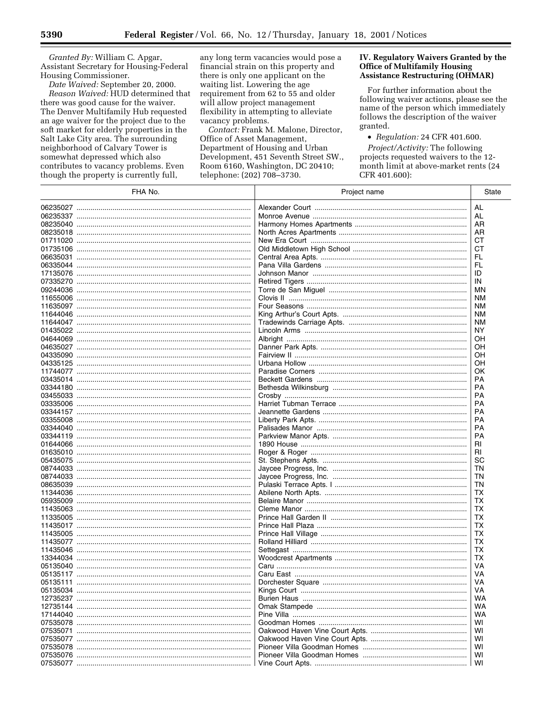Granted By: William C. Apgar, Assistant Secretary for Housing-Federal Housing Commissioner.

Date Waived: September 20, 2000. Reason Waived: HUD determined that there was good cause for the waiver. The Denver Multifamily Hub requested an age waiver for the project due to the soft market for elderly properties in the Salt Lake City area. The surrounding neighborhood of Calvary Tower is somewhat depressed which also contributes to vacancy problems. Even though the property is currently full,

any long term vacancies would pose a financial strain on this property and there is only one applicant on the waiting list. Lowering the age requirement from 62 to 55 and older will allow project management flexibility in attempting to alleviate vacancy problems.

Contact: Frank M. Malone, Director, Office of Asset Management, Department of Housing and Urban Development, 451 Seventh Street SW., Room 6160, Washington, DC 20410; telephone: (202) 708-3730.

#### IV. Regulatory Waivers Granted by the **Office of Multifamily Housing Assistance Restructuring (OHMAR)**

For further information about the following waiver actions, please see the name of the person which immediately follows the description of the waiver granted.

• Regulation: 24 CFR 401.600. Project/Activity: The following projects requested waivers to the 12month limit at above-market rents (24 CFR 401.600):

| FHA No.  | Project name | State     |
|----------|--------------|-----------|
|          |              | AL        |
|          |              | AL        |
|          |              | AR        |
|          |              | AR        |
|          |              | CТ        |
|          |              | CТ        |
|          |              | FL        |
|          |              | FL        |
|          |              | ID        |
|          |              | IN        |
|          |              | ΜN        |
|          |              | ΝM        |
|          |              | ΝM        |
|          |              | ΝM        |
|          |              | <b>NM</b> |
|          |              | ΝY        |
|          |              | OН        |
|          |              | ОH        |
|          |              | OН        |
|          |              | ОH        |
|          |              | OK        |
|          |              | РA        |
|          |              | PA        |
|          |              | PA        |
|          |              | <b>PA</b> |
|          |              | PA        |
|          |              | PA        |
|          |              | PA        |
|          |              | <b>PA</b> |
|          |              | RI        |
|          |              | RI        |
|          |              | SC        |
|          |              | ΤN        |
|          |              | ΤN        |
|          |              | ΤN        |
|          |              | ТX        |
|          |              | <b>TX</b> |
|          |              | ТX        |
|          |              | <b>TX</b> |
|          |              | ТX        |
| 11435005 |              | <b>TX</b> |
|          |              | ТX        |
|          |              | <b>TX</b> |
|          |              | ТX        |
|          |              | VA        |
|          |              | VA        |
|          |              | VA        |
|          |              | VA        |
|          |              | WA        |
|          |              | WA        |
|          |              |           |
|          |              | WA        |
|          |              | wı        |
|          |              | WI        |
|          |              | WI        |
|          |              | WI        |
|          |              | WI        |
|          |              | WI        |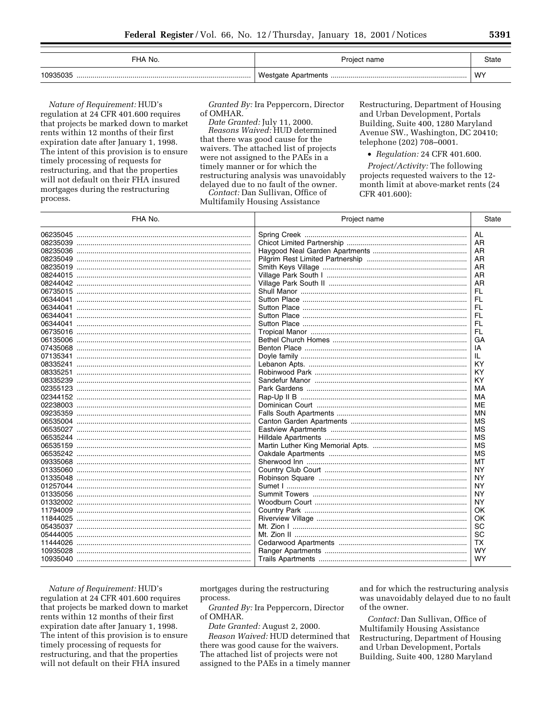| FHA No.  | Project name | State |
|----------|--------------|-------|
| 10935035 |              | WY    |

Nature of Requirement: HUD's regulation at 24 CFR 401.600 requires that projects be marked down to market rents within 12 months of their first expiration date after January 1, 1998. The intent of this provision is to ensure timely processing of requests for restructuring, and that the properties will not default on their FHA insured mortgages during the restructuring process.

Granted By: Ira Peppercorn, Director of OMHAR.

Date Granted: July 11, 2000. Reasons Waived: HUD determined that there was good cause for the waivers. The attached list of projects were not assigned to the PAEs in a timely manner or for which the restructuring analysis was unavoidably delayed due to no fault of the owner.

Contact: Dan Sullivan, Office of Multifamily Housing Assistance

Restructuring, Department of Housing and Urban Development, Portals Building, Suite 400, 1280 Maryland Avenue SW., Washington, DC 20410; telephone (202) 708-0001.

• Regulation: 24 CFR 401.600.

*Project/Activity:* The following projects requested waivers to the 12month limit at above-market rents (24 CFR 401.600):

| FHA No.                                                                                      | Project name | <b>State</b>                                                                    |
|----------------------------------------------------------------------------------------------|--------------|---------------------------------------------------------------------------------|
| 06235045<br>08235039<br>08235036<br>08235049<br>08235019<br>08244015<br>08244042             |              | <b>AL</b><br>AR<br>AR<br>AR<br>AR<br>AR<br>AR                                   |
| 06735015<br>06344041<br>06344041<br>06344041<br>06344041<br>06735016                         |              | <b>FL</b><br>FL<br><b>FL</b><br><b>FL</b><br><b>FL</b><br>FL                    |
| 06135006<br>07435068<br>07135341<br>08335241<br>08335251<br>08335239                         |              | GA<br>IA<br>IL<br>KY<br>KY<br><b>KY</b>                                         |
| 02355123<br>02344152<br>02238003<br>09235359<br>06535004<br>06535027                         |              | МA<br>МA<br>МE<br>MN<br><b>MS</b><br><b>MS</b>                                  |
| 06535244<br>06535242<br>09335068<br>01335060<br>01335048                                     |              | <b>MS</b><br><b>MS</b><br><b>MS</b><br>MT<br><b>NY</b><br><b>NY</b>             |
| 01257044<br>01335056<br>01332002<br>11794009<br>11844025<br>05435037<br>05444005<br>11444026 | Sumet I      | <b>NY</b><br><b>NY</b><br><b>NY</b><br>ΟK<br>OK<br><b>SC</b><br>SC<br><b>TX</b> |
| 10935028                                                                                     |              | <b>WY</b><br>WY                                                                 |

Nature of Requirement: HUD's regulation at 24 CFR 401.600 requires that projects be marked down to market rents within 12 months of their first expiration date after January 1, 1998. The intent of this provision is to ensure timely processing of requests for restructuring, and that the properties will not default on their FHA insured

mortgages during the restructuring process.

Granted By: Ira Peppercorn, Director of OMHAR.

Date Granted: August 2, 2000. Reason Waived: HUD determined that there was good cause for the waivers. The attached list of projects were not assigned to the PAEs in a timely manner

and for which the restructuring analysis was unavoidably delayed due to no fault of the owner.

Contact: Dan Sullivan, Office of Multifamily Housing Assistance Restructuring, Department of Housing and Urban Development, Portals Building, Suite 400, 1280 Maryland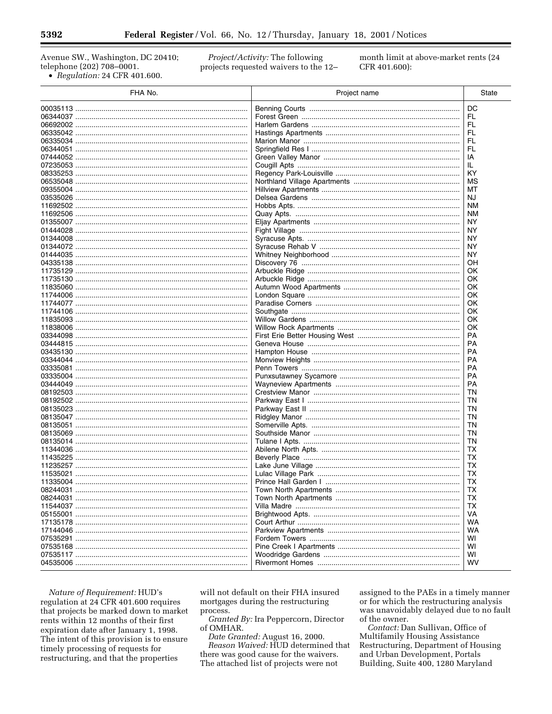Avenue SW., Washington, DC 20410; telephone (202) 708-0001. • Regulation: 24 CFR 401.600.

Project/Activity: The following projects requested waivers to the 12month limit at above-market rents (24 CFR 401.600):

| FHA No.  | Project name | State     |
|----------|--------------|-----------|
|          |              | DC        |
|          |              | FL        |
|          |              | FL        |
|          |              | FL        |
|          |              | FL        |
| 06344051 |              | FL        |
|          |              | IA        |
|          |              | IL.       |
|          |              | KY        |
|          |              | MS        |
|          |              | МT        |
|          |              | NJ.       |
|          |              | <b>NM</b> |
|          |              | <b>NM</b> |
|          |              | <b>NY</b> |
|          |              | <b>NY</b> |
|          |              | ΝY        |
|          |              | <b>NY</b> |
|          |              | ΝY        |
|          |              | OΗ        |
|          |              | OK        |
|          |              | OK        |
|          |              | OK        |
|          |              | OK        |
|          |              | OK        |
|          |              | OK        |
|          |              | OK        |
|          |              | OK        |
|          |              | <b>PA</b> |
|          |              | PA        |
|          |              | PA        |
|          |              | <b>PA</b> |
|          |              | <b>PA</b> |
|          |              | <b>PA</b> |
|          |              | <b>PA</b> |
|          |              | TN        |
|          |              | TN        |
|          |              | <b>TN</b> |
|          |              | TN        |
|          |              | <b>TN</b> |
|          |              | TN        |
|          |              | <b>TN</b> |
|          |              | ТX        |
|          |              | TX        |
|          |              | TX        |
|          |              | TX        |
|          |              | <b>TX</b> |
| 08244031 |              | TX        |
| 08244031 |              | ТX        |
|          |              | TX        |
|          |              | VA        |
|          |              | WA        |
|          |              | <b>WA</b> |
|          |              | WI        |
|          |              | WI        |
|          |              | WI        |
|          |              | <b>WV</b> |

Nature of Requirement: HUD's regulation at 24 CFR 401.600 requires that projects be marked down to market rents within 12 months of their first expiration date after January 1, 1998. The intent of this provision is to ensure timely processing of requests for restructuring, and that the properties

will not default on their FHA insured mortgages during the restructuring process.

Granted By: Ira Peppercorn, Director of OMHAR.

Date Granted: August 16, 2000. Reason Waived: HUD determined that there was good cause for the waivers. The attached list of projects were not

assigned to the PAEs in a timely manner or for which the restructuring analysis was unavoidably delayed due to no fault of the owner.

Contact: Dan Sullivan, Office of Multifamily Housing Assistance Restructuring, Department of Housing and Urban Development, Portals Building, Suite 400, 1280 Maryland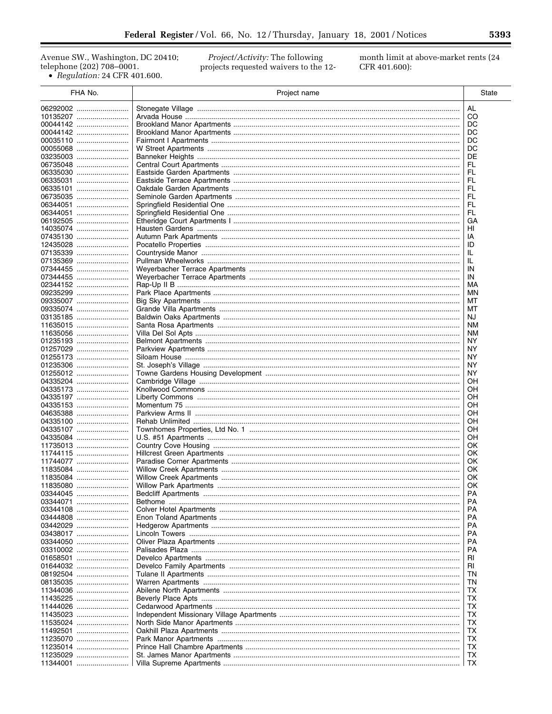Avenue SW., Washington, DC 20410; telephone (202) 708-0001.  $\bullet$  Regulation: 24 CFR 401.600.

Project/Activity: The following projects requested waivers to the 12month limit at above-market rents (24 CFR 401.600):

| FHA No.              | Project name                  | State     |
|----------------------|-------------------------------|-----------|
| 06292002             |                               | AL        |
| 10135207             |                               | CO        |
| 00044142             |                               | DC        |
| 00044142             |                               | DC        |
| 00035110             |                               | DC        |
| 00055068             |                               | DC        |
| 03235003             |                               | DE<br>FL  |
| 06735048<br>06335030 |                               | FL        |
| 06335031             |                               | FL        |
| 06335101             |                               | FL        |
| 06735035             |                               | FL.       |
| 06344051             |                               | FL        |
| 06344051             |                               | FL.       |
| 06192505             |                               | GА        |
| 14035074<br>07435130 |                               | ΗI<br>ΙA  |
| 12435028             |                               | ID        |
| 07135339             |                               | IL        |
| 07135369             |                               | IL.       |
| 07344455             |                               | IN        |
| 07344455             |                               | IN        |
| 02344152             |                               | МA        |
| 09235299<br>09335007 |                               | ΜN<br>MT  |
| 09335074             |                               | МT        |
| 03135185             |                               | NJ.       |
| 11635015             |                               | NΜ        |
| 11635056             |                               | <b>NM</b> |
| 01235193             |                               | ΝY        |
| 01257029<br>01255173 |                               | NY.<br>ΝY |
| 01235306             |                               | NY.       |
| 01255012             |                               | ΝY        |
| 04335204             |                               | OH        |
| 04335173             |                               | OН        |
| 04335197             |                               | ΟH        |
| 04335153<br>04635388 |                               | OН<br>ΟH  |
| 04335100             |                               | OН        |
| 04335107             |                               | ΟH        |
| 04335084             |                               | ΟH        |
| 11735013             |                               | OK.       |
| 11744115             |                               | OK.       |
| 11744077<br>11835084 |                               | OK.<br>0K |
| 11835084             |                               | 0K        |
| 11835080             | <b>Willow Park Apartments</b> | OK        |
| 03344045             |                               | РA        |
| 03344071             |                               | РA        |
| 03344108             |                               | РA        |
| 03444808<br>03442029 |                               | РA<br>РA  |
| 03438017             |                               | РA        |
| 03344050             |                               | РA        |
| 03310002             |                               | PA        |
| 01658501             |                               | RI        |
| 01644032             |                               | <b>RI</b> |
| 08192504<br>08135035 |                               | ΤN<br>ΤN  |
| 11344036             |                               | TХ        |
| 11435225             |                               | ТX        |
| 11444026             |                               | ТX        |
| 11435023             |                               | ТX        |
| 11535024             |                               | ТX        |
| 11492501             |                               | ТX        |
| 11235070<br>11235014 |                               | TХ<br>ТX  |
| 11235029             |                               | ТX        |
| 11344001             |                               | ТX        |

▀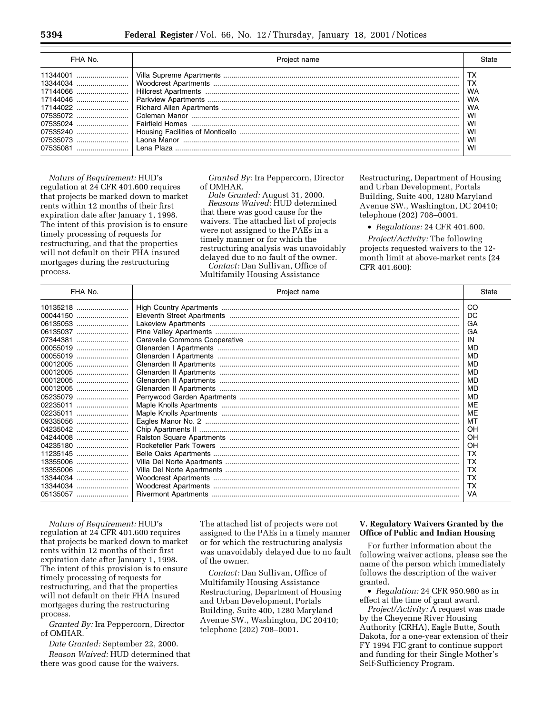| FHA No.                                                                                                                                  | Project name                  |                                                    |
|------------------------------------------------------------------------------------------------------------------------------------------|-------------------------------|----------------------------------------------------|
| 1344001<br>13344034<br>17144066<br>07535072<br>07535024<br>07535240<br>and a latter than the latter of the Manor<br>07535073<br>07535081 | Fairfield Homes<br>Lena Plaza | тх<br>WA<br>WA<br>WA<br>WI<br>WI<br>WI<br>WI<br>WI |

*Nature of Requirement:* HUD's regulation at 24 CFR 401.600 requires that projects be marked down to market rents within 12 months of their first expiration date after January 1, 1998. The intent of this provision is to ensure timely processing of requests for restructuring, and that the properties will not default on their FHA insured mortgages during the restructuring process.

*Granted By:* Ira Peppercorn, Director of OMHAR.

*Date Granted:* August 31, 2000. *Reasons Waived:* HUD determined that there was good cause for the waivers. The attached list of projects were not assigned to the PAEs in a timely manner or for which the restructuring analysis was unavoidably delayed due to no fault of the owner.

*Contact:* Dan Sullivan, Office of Multifamily Housing Assistance

Restructuring, Department of Housing and Urban Development, Portals Building, Suite 400, 1280 Maryland Avenue SW., Washington, DC 20410; telephone (202) 708–0001.

• *Regulations:* 24 CFR 401.600.

*Project/Activity:* The following projects requested waivers to the 12 month limit at above-market rents (24 CFR 401.600):

| FHA No.  | Project name | State     |
|----------|--------------|-----------|
| 10135218 |              | CO        |
| 00044150 |              | DC        |
| 06135053 |              | GA        |
| 06135037 |              | GA        |
| 07344381 |              | IN        |
| 00055019 |              | MD        |
| 00055019 |              | MD        |
| 00012005 |              | MD        |
| 00012005 |              | MD        |
| 00012005 |              | MD        |
| 00012005 |              | <b>MD</b> |
| 05235079 |              | <b>MD</b> |
| 02235011 |              | ME        |
| 02235011 |              | ME        |
| 09335056 |              | MT        |
| 04235042 |              | OH        |
|          |              | OH        |
| 04235180 |              | OH        |
| 11235145 |              | ТX        |
| 13355006 |              | TX        |
| 13355006 |              | ТX        |
| 13344034 |              | TX        |
| 13344034 |              | TX        |
| 05135057 |              | VA        |
|          |              |           |

*Nature of Requirement:* HUD's regulation at 24 CFR 401.600 requires that projects be marked down to market rents within 12 months of their first expiration date after January 1, 1998. The intent of this provision is to ensure timely processing of requests for restructuring, and that the properties will not default on their FHA insured mortgages during the restructuring process.

*Granted By:* Ira Peppercorn, Director of OMHAR.

*Date Granted:* September 22, 2000. *Reason Waived:* HUD determined that there was good cause for the waivers.

The attached list of projects were not assigned to the PAEs in a timely manner or for which the restructuring analysis was unavoidably delayed due to no fault of the owner.

*Contact:* Dan Sullivan, Office of Multifamily Housing Assistance Restructuring, Department of Housing and Urban Development, Portals Building, Suite 400, 1280 Maryland Avenue SW., Washington, DC 20410; telephone (202) 708–0001.

## **V. Regulatory Waivers Granted by the Office of Public and Indian Housing**

For further information about the following waiver actions, please see the name of the person which immediately follows the description of the waiver granted.

• *Regulation:* 24 CFR 950.980 as in effect at the time of grant award.

*Project/Activity:* A request was made by the Cheyenne River Housing Authority (CRHA), Eagle Butte, South Dakota, for a one-year extension of their FY 1994 FIC grant to continue support and funding for their Single Mother's Self-Sufficiency Program.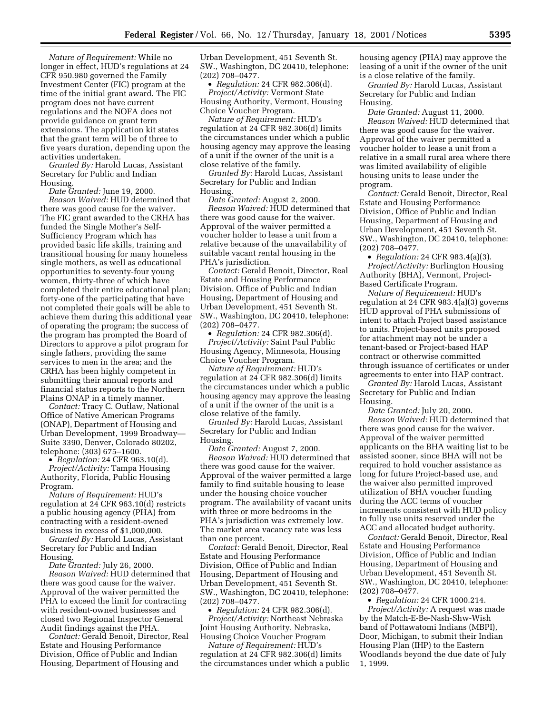*Nature of Requirement:* While no longer in effect, HUD's regulations at 24 CFR 950.980 governed the Family Investment Center (FIC) program at the time of the initial grant award. The FIC program does not have current regulations and the NOFA does not provide guidance on grant term extensions. The application kit states that the grant term will be of three to five years duration, depending upon the activities undertaken.

*Granted By:* Harold Lucas, Assistant Secretary for Public and Indian Housing.

*Date Granted:* June 19, 2000. *Reason Waived:* HUD determined that there was good cause for the waiver. The FIC grant awarded to the CRHA has funded the Single Mother's Self-Sufficiency Program which has provided basic life skills, training and transitional housing for many homeless single mothers, as well as educational opportunities to seventy-four young women, thirty-three of which have completed their entire educational plan; forty-one of the participating that have not completed their goals will be able to achieve them during this additional year of operating the program; the success of the program has prompted the Board of Directors to approve a pilot program for single fathers, providing the same services to men in the area; and the CRHA has been highly competent in submitting their annual reports and financial status reports to the Northern Plains ONAP in a timely manner.

*Contact:* Tracy C. Outlaw, National Office of Native American Programs (ONAP), Department of Housing and Urban Development, 1999 Broadway— Suite 3390, Denver, Colorado 80202, telephone: (303) 675–1600.

• *Regulation:* 24 CFR 963.10(d). *Project/Activity:* Tampa Housing Authority, Florida, Public Housing Program.

*Nature of Requirement:* HUD's regulation at 24 CFR 963.10(d) restricts a public housing agency (PHA) from contracting with a resident-owned business in excess of \$1,000,000.

*Granted By:* Harold Lucas, Assistant Secretary for Public and Indian Housing.

*Date Granted:* July 26, 2000. *Reason Waived:* HUD determined that there was good cause for the waiver. Approval of the waiver permitted the PHA to exceed the limit for contracting with resident-owned businesses and closed two Regional Inspector General Audit findings against the PHA.

*Contact:* Gerald Benoit, Director, Real Estate and Housing Performance Division, Office of Public and Indian Housing, Department of Housing and

Urban Development, 451 Seventh St. SW., Washington, DC 20410, telephone: (202) 708–0477.

• *Regulation:* 24 CFR 982.306(d). *Project/Activity:* Vermont State Housing Authority, Vermont, Housing Choice Voucher Program.

*Nature of Requirement:* HUD's regulation at 24 CFR 982.306(d) limits the circumstances under which a public housing agency may approve the leasing of a unit if the owner of the unit is a close relative of the family.

*Granted By:* Harold Lucas, Assistant Secretary for Public and Indian Housing.

*Date Granted:* August 2, 2000. *Reason Waived:* HUD determined that there was good cause for the waiver. Approval of the waiver permitted a voucher holder to lease a unit from a relative because of the unavailability of suitable vacant rental housing in the PHA's jurisdiction.

*Contact:* Gerald Benoit, Director, Real Estate and Housing Performance Division, Office of Public and Indian Housing, Department of Housing and Urban Development, 451 Seventh St. SW., Washington, DC 20410, telephone: (202) 708–0477.

• *Regulation:* 24 CFR 982.306(d). *Project/Activity:* Saint Paul Public Housing Agency, Minnesota, Housing Choice Voucher Program.

*Nature of Requirement:* HUD's regulation at 24 CFR 982.306(d) limits the circumstances under which a public housing agency may approve the leasing of a unit if the owner of the unit is a close relative of the family.

*Granted By:* Harold Lucas, Assistant Secretary for Public and Indian Housing.

*Date Granted:* August 7, 2000. *Reason Waived:* HUD determined that there was good cause for the waiver. Approval of the waiver permitted a large family to find suitable housing to lease under the housing choice voucher program. The availability of vacant units with three or more bedrooms in the PHA's jurisdiction was extremely low. The market area vacancy rate was less than one percent.

*Contact:* Gerald Benoit, Director, Real Estate and Housing Performance Division, Office of Public and Indian Housing, Department of Housing and Urban Development, 451 Seventh St. SW., Washington, DC 20410, telephone: (202) 708–0477.

• *Regulation:* 24 CFR 982.306(d). *Project/Activity:* Northeast Nebraska Joint Housing Authority, Nebraska, Housing Choice Voucher Program

*Nature of Requirement:* HUD's regulation at 24 CFR 982.306(d) limits the circumstances under which a public housing agency (PHA) may approve the leasing of a unit if the owner of the unit is a close relative of the family.

*Granted By:* Harold Lucas, Assistant Secretary for Public and Indian Housing.

*Date Granted:* August 11, 2000. *Reason Waived:* HUD determined that there was good cause for the waiver. Approval of the waiver permitted a voucher holder to lease a unit from a relative in a small rural area where there was limited availability of eligible housing units to lease under the program.

*Contact:* Gerald Benoit, Director, Real Estate and Housing Performance Division, Office of Public and Indian Housing, Department of Housing and Urban Development, 451 Seventh St. SW., Washington, DC 20410, telephone: (202) 708–0477.

• *Regulation:* 24 CFR 983.4(a)(3). *Project/Activity:* Burlington Housing Authority (BHA), Vermont, Project-Based Certificate Program.

*Nature of Requirement:* HUD's regulation at 24 CFR 983.4(a)(3) governs HUD approval of PHA submissions of intent to attach Project based assistance to units. Project-based units proposed for attachment may not be under a tenant-based or Project-based HAP contract or otherwise committed through issuance of certificates or under agreements to enter into HAP contract.

*Granted By:* Harold Lucas, Assistant Secretary for Public and Indian Housing.

*Date Granted:* July 20, 2000. *Reason Waived:* HUD determined that there was good cause for the waiver. Approval of the waiver permitted applicants on the BHA waiting list to be assisted sooner, since BHA will not be required to hold voucher assistance as long for future Project-based use, and the waiver also permitted improved utilization of BHA voucher funding during the ACC terms of voucher increments consistent with HUD policy to fully use units reserved under the ACC and allocated budget authority.

*Contact:* Gerald Benoit, Director, Real Estate and Housing Performance Division, Office of Public and Indian Housing, Department of Housing and Urban Development, 451 Seventh St. SW., Washington, DC 20410, telephone: (202) 708–0477.

• *Regulation:* 24 CFR 1000.214. *Project/Activity:* A request was made by the Match-E-Be-Nash-Shw-Wish band of Pottawatomi Indians (MBPI), Door, Michigan, to submit their Indian Housing Plan (IHP) to the Eastern Woodlands beyond the due date of July 1, 1999.